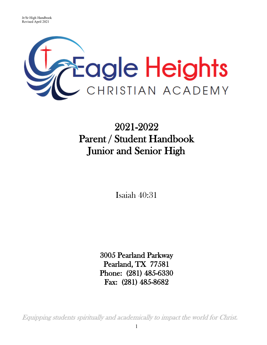

# 2021-2022 Parent / Student Handbook Junior and Senior High

Isaiah 40:31

3005 Pearland Parkway Pearland, TX 77581 Phone: (281) 485-6330 Fax: (281) 485-8682

Equipping students spiritually and academically to impact the world for Christ.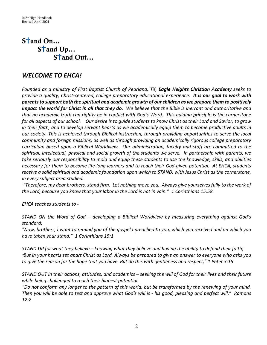## S<sup>t</sup>and On... S<sup>t</sup>and Up...  $S<sup>+</sup>$  and Out...

## *WELCOME TO EHCA!*

*Founded as a ministry of First Baptist Church of Pearland, TX, Eagle Heights Christian Academy seeks to provide a quality, Christ-centered, college preparatory educational experience. It is our goal to work with parents to support both the spiritual and academic growth of our children as we prepare them to positively impact the world for Christ in all that they do. We believe that the Bible is inerrant and authoritative and that no academic truth can rightly be in conflict with God's Word. This guiding principle is the cornerstone for all aspects of our school. Our desire is to guide students to know Christ as their Lord and Savior, to grow in their faith, and to develop servant hearts as we academically equip them to become productive adults in our society. This is achieved through Biblical instruction, through providing opportunities to serve the local community and foreign missions, as well as through providing an academically rigorous college preparatory curriculum based upon a Biblical Worldview. Our administration, faculty and staff are committed to the spiritual, intellectual, physical and social growth of the students we serve. In partnership with parents, we take seriously our responsibility to mold and equip these students to use the knowledge, skills, and abilities necessary for them to become life-long learners and to reach their God-given potential. At EHCA, students receive a solid spiritual and academic foundation upon which to STAND, with Jesus Christ as the cornerstone, in every subject area studied.* 

*"Therefore, my dear brothers, stand firm. Let nothing move you. Always give yourselves fully to the work of the Lord, because you know that your labor in the Lord is not in vain." 1 Corinthians 15:58*

*EHCA teaches students to -*

*STAND ON the Word of God – developing a Biblical Worldview by measuring everything against God's standard;* 

*"Now, brothers, I want to remind you of the gospel I preached to you, which you received and on which you have taken your stand." 1 Corinthians 15:1*

*STAND UP for what they believe – knowing what they believe and having the ability to defend their faith; "But in your hearts set apart Christ as Lord. Always be prepared to give an answer to everyone who asks you to give the reason for the hope that you have. But do this with gentleness and respect," 1 Peter 3:15*

*STAND OUT in their actions, attitudes, and academics – seeking the will of God for their lives and their future while being challenged to reach their highest potential.* 

*"Do not conform any longer to the pattern of this world, but be transformed by the renewing of your mind. Then you will be able to test and approve what God's will is - his good, pleasing and perfect will." Romans 12:2*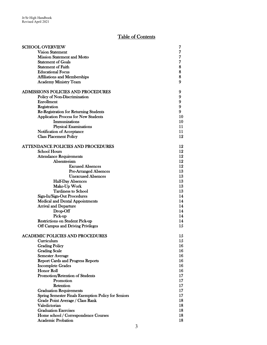## Table of Contents

| <b>SCHOOL OVERVIEW</b>                              | 7              |
|-----------------------------------------------------|----------------|
| <b>Vision Statement</b>                             | $\overline{7}$ |
| <b>Mission Statement and Motto</b>                  | 7              |
| <b>Statement of Goals</b>                           | 7              |
| <b>Statement of Faith</b>                           | 8              |
| <b>Educational Focus</b>                            | 8              |
| <b>Affiliations and Memberships</b>                 | 8              |
| <b>Academy Ministry Team</b>                        | 9              |
|                                                     |                |
| ADMISSIONS POLICIES AND PROCEDURES                  | 9              |
| Policy of Non-Discrimination                        | 9              |
| <b>Enrollment</b>                                   | 9              |
| Registration                                        | 9              |
| <b>Re-Registration for Returning Students</b>       | 9              |
| <b>Application Process for New Students</b>         | 10             |
| <b>Immunizations</b>                                | 10             |
| <b>Physical Examinations</b>                        | 11             |
| Notification of Acceptance                          | 11             |
| <b>Class Placement Policy</b>                       | 12             |
|                                                     |                |
| <b>ATTENDANCE POLICIES AND PROCEDURES</b>           | 12             |
| <b>School Hours</b>                                 | 12             |
| <b>Attendance Requirements</b>                      | 12             |
| Absenteeism                                         | 12             |
| <b>Excused Absences</b>                             | 12             |
| <b>Pre-Arranged Absences</b>                        | 13             |
| <b>Unexcused Absences</b>                           | 13             |
| <b>Half-Day Absences</b>                            | 13             |
| Make-Up Work                                        | 13             |
| <b>Tardiness to School</b>                          | 13             |
| Sign-In/Sign-Out Procedures                         | 14             |
| <b>Medical and Dental Appointments</b>              | 14             |
| <b>Arrival and Departure</b>                        | 14             |
| Drop-Off                                            | 14             |
| Pick-up                                             | 14             |
| <b>Restrictions on Student Pick-up</b>              | 14             |
| Off Campus and Driving Privileges                   | 15             |
|                                                     |                |
| <b>ACADEMIC POLICIES AND PROCEDURES</b>             | 15             |
| Curriculum                                          | $15\,$         |
| <b>Grading Policy</b>                               | 16             |
| <b>Grading Scale</b>                                | 16             |
| <b>Semester Average</b>                             | 16             |
| <b>Report Cards and Progress Reports</b>            | 16             |
| <b>Incomplete Grades</b>                            | 16             |
| <b>Honor Roll</b>                                   | 16             |
| Promotion/Retention of Students                     | 17             |
| Promotion                                           | 17             |
| Retention                                           | 17             |
| <b>Graduation Requirements</b>                      | 17             |
| Spring Semester Finals Exemption Policy for Seniors | 17             |
| Grade Point Average / Class Rank                    | 18             |
| Valedictorian                                       | 18             |
| <b>Graduation Exercises</b>                         | 18             |
| Home school / Correspondence Courses                | 18             |
| <b>Academic Probation</b>                           | 18             |
|                                                     |                |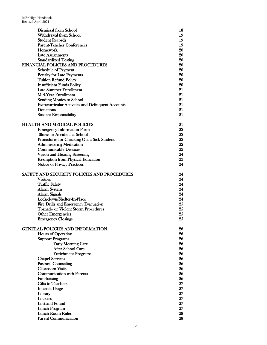| <b>Dismissal from School</b>                              | 18 |
|-----------------------------------------------------------|----|
| Withdrawal from School                                    | 19 |
| <b>Student Records</b>                                    | 19 |
| <b>Parent-Teacher Conferences</b>                         | 19 |
| Homework                                                  | 20 |
| <b>Late Assignments</b>                                   | 20 |
| <b>Standardized Testing</b>                               | 20 |
| <b>FINANCIAL POLICIES AND PROCEDURES</b>                  | 20 |
| <b>Schedule of Payment</b>                                | 20 |
| <b>Penalty for Late Payments</b>                          | 20 |
| <b>Tuition Refund Policy</b>                              | 20 |
| <b>Insufficient Funds Policy</b>                          | 20 |
| <b>Late Summer Enrollment</b>                             | 21 |
| <b>Mid-Year Enrollment</b>                                | 21 |
| <b>Sending Monies to School</b>                           | 21 |
| <b>Extracurricular Activities and Delinquent Accounts</b> | 21 |
| Donations                                                 | 21 |
| <b>Student Responsibility</b>                             | 21 |
|                                                           |    |
| <b>HEALTH AND MEDICAL POLICIES</b>                        | 21 |
| <b>Emergency Information Form</b>                         | 22 |
| <b>Illness or Accident at School</b>                      | 22 |
| Procedures for Checking Out a Sick Student                | 22 |
| <b>Administering Medication</b>                           | 22 |
| <b>Communicable Diseases</b>                              | 23 |
| Vision and Hearing Screening                              | 24 |
| <b>Exemption from Physical Education</b>                  | 23 |
| <b>Notice of Privacy Practices</b>                        | 24 |
|                                                           |    |
| SAFETY AND SECURITY POLICIES AND PROCEDURES               | 24 |
| <b>Visitors</b>                                           | 24 |
| <b>Traffic Safety</b>                                     | 24 |
| <b>Alarm System</b>                                       | 24 |
| Alarm Signals                                             | 24 |
| Lock-down/Shelter-In-Place                                | 24 |
| Fire Drills and Emergency Evacuation                      | 25 |
| <b>Tornado or Violent Storm Procedures</b>                | 25 |
|                                                           | 25 |
| <b>Other Emergencies</b>                                  | 25 |
| <b>Emergency Closings</b>                                 |    |
| <b>GENERAL POLICIES AND INFORMATION</b>                   | 26 |
|                                                           | 26 |
| Hours of Operation                                        | 26 |
| <b>Support Programs</b>                                   | 26 |
| <b>Early Morning Care</b>                                 |    |
| <b>After School Care</b>                                  | 26 |
| <b>Enrichment Programs</b>                                | 26 |
| <b>Chapel Services</b>                                    | 26 |
| <b>Pastoral Counseling</b>                                | 26 |
| <b>Classroom Visits</b>                                   | 26 |
| <b>Communication with Parents</b>                         | 26 |
| Fundraising                                               | 26 |
| <b>Gifts to Teachers</b>                                  | 27 |
| <b>Internet Usage</b>                                     | 27 |
| Library                                                   | 27 |
| Lockers                                                   | 27 |
| Lost and Found                                            | 27 |
| <b>Lunch Program</b>                                      | 27 |
| <b>Lunch Room Rules</b>                                   | 28 |
| <b>Parent Communication</b>                               | 28 |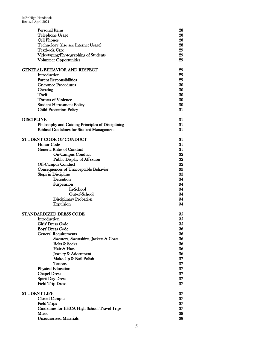| <b>Personal Items</b>                             | 28 |
|---------------------------------------------------|----|
| Telephone Usage                                   | 28 |
| <b>Cell Phones</b>                                | 28 |
| Technology (also see Internet Usage)              | 28 |
| <b>Textbook Care</b>                              | 29 |
| Videotaping/Photographing of Students             | 29 |
| <b>Volunteer Opportunities</b>                    | 29 |
| <b>GENERAL BEHAVIOR AND RESPECT</b>               | 29 |
| Introduction                                      | 29 |
| <b>Parent Responsibilities</b>                    | 29 |
| <b>Grievance Procedures</b>                       | 30 |
| Cheating                                          | 30 |
| Theft                                             | 30 |
| <b>Threats of Violence</b>                        | 30 |
| <b>Student Harassment Policy</b>                  | 30 |
| <b>Child Protection Policy</b>                    | 31 |
| <b>DISCIPLINE</b>                                 | 31 |
| Philosophy and Guiding Principles of Disciplining | 31 |
| <b>Biblical Guidelines for Student Management</b> | 31 |
| STUDENT CODE OF CONDUCT                           | 31 |
| <b>Honor Code</b>                                 | 31 |
| <b>General Rules of Conduct</b>                   | 31 |
| <b>On-Campus Conduct</b>                          | 32 |
| <b>Public Display of Affextion</b>                | 32 |
| <b>Off-Campus Conduct</b>                         | 32 |
| Consequences of Unacceptable Behavior             | 33 |
| <b>Steps in Discipline</b>                        | 33 |
| Detention                                         | 34 |
| Suspension                                        | 34 |
| In-School                                         | 34 |
| Out-of-School                                     | 34 |
| <b>Disciplinary Probation</b>                     | 34 |
| <b>Expulsion</b>                                  | 34 |
| STANDARDIZED DRESS CODE                           | 35 |
| <b>Introduction</b>                               | 35 |
| Girls' Dress Code                                 | 35 |
| <b>Boys' Dress Code</b>                           | 36 |
| <b>General Requirements</b>                       | 36 |
| Sweaters, Sweatshirts, Jackets & Coats            | 36 |
| <b>Belts &amp; Socks</b>                          | 36 |
| Hair & Hats                                       | 36 |
| Jewelry & Adornment                               | 36 |
| Make-Up & Nail Polish                             | 37 |
| <b>Tattoos</b>                                    | 37 |
| <b>Physical Education</b>                         | 37 |
| <b>Chapel Dress</b>                               | 37 |
| <b>Spirit Day Dress</b>                           | 37 |
| <b>Field Trip Dress</b>                           | 37 |
| <b>STUDENT LIFE</b>                               | 37 |
| <b>Closed Campus</b>                              | 37 |
| <b>Field Trips</b>                                | 37 |
| Guidelines for EHCA High School Travel Trips      | 37 |
| <b>Music</b>                                      | 38 |
| <b>Unauthorized Materials</b>                     | 38 |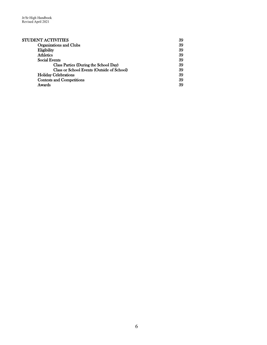| STUDENT ACTIVITIES                         | 39 |
|--------------------------------------------|----|
| <b>Organizations and Clubs</b>             | 39 |
| Eligibility                                | 39 |
| <b>Athletics</b>                           | 39 |
| <b>Social Events</b>                       | 39 |
| Class Parties (During the School Day)      | 39 |
| Class or School Events (Outside of School) | 39 |
| <b>Holiday Celebrations</b>                | 39 |
| <b>Contests and Competitions</b>           | 39 |
| Awards                                     | 39 |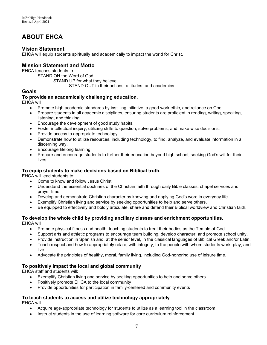## **ABOUT EHCA**

## **Vision Statement**

EHCA will equip students spiritually and academically to impact the world for Christ.

## **Mission Statement and Motto**

EHCA teaches students to -

STAND ON the Word of God STAND UP for what they believe STAND OUT in their actions, attitudes, and academics

### **Goals**

#### **To provide an academically challenging education.**

EHCA will:

- Promote high academic standards by instilling initiative, a good work ethic, and reliance on God.
- Prepare students in all academic disciplines, ensuring students are proficient in reading, writing, speaking, listening, and thinking.
- Encourage the development of good study habits.
- Foster intellectual inquiry, utilizing skills to question, solve problems, and make wise decisions.
- Provide access to appropriate technology.
- Demonstrate how to utilize resources, including technology, to find, analyze, and evaluate information in a discerning way.
- Encourage lifelong learning.
- Prepare and encourage students to further their education beyond high school, seeking God's will for their lives.

#### **To equip students to make decisions based on Biblical truth.**

EHCA will lead students to:

- Come to know and follow Jesus Christ.
- Understand the essential doctrines of the Christian faith through daily Bible classes, chapel services and prayer time
- Develop and demonstrate Christian character by knowing and applying God's word in everyday life.
- Exemplify Christian living and service by seeking opportunities to help and serve others.
- Be equipped to effectively and boldly articulate, share and defend their Biblical worldview and Christian faith.

#### **To develop the whole child by providing ancillary classes and enrichment opportunities.**  EHCA will:

- Promote physical fitness and health, teaching students to treat their bodies as the Temple of God.
- Support arts and athletic programs to encourage team building, develop character, and promote school unity.
- Provide instruction in Spanish and, at the senior level, in the classical languages of Biblical Greek and/or Latin.
- Teach respect and how to appropriately relate, with integrity, to the people with whom students work, play, and live.
- Advocate the principles of healthy, moral, family living, including God-honoring use of leisure time.

#### **To positively impact the local and global community**

EHCA staff and students will:

- Exemplify Christian living and service by seeking opportunities to help and serve others.
- Positively promote EHCA to the local community
- Provide opportunities for participation in family-centered and community events

## **To teach students to access and utilize technology appropriately**

EHCA will

- Acquire age-appropriate technology for students to utilize as a learning tool in the classroom
- Instruct students in the use of learning software for core curriculum reinforcement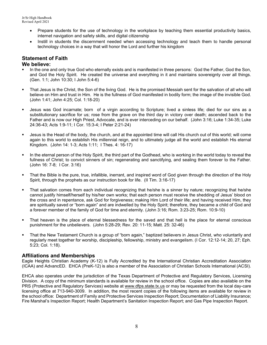- Prepare students for the use of technology in the workplace by teaching them essential productivity basics, internet navigation and safety skills, and digital citizenship
- Instill in students the discernment needed when accessing technology and teach them to handle personal technology choices in a way that will honor the Lord and further his kingdom

## **Statement of Faith**

#### **We believe:**

- In the one and only true God who eternally exists and is manifested in three persons: God the Father, God the Son, and God the Holy Spirit. He created the universe and everything in it and maintains sovereignty over all things. (Gen. 1:1; John 10:30; I John 5:4-6)
- That Jesus is the Christ, the Son of the living God. He is the promised Messiah sent for the salvation of all who will believe on Him and trust in Him. He is the fullness of God manifested in bodily form; the image of the invisible God. (John 1:41; John 4:25; Col. 1:18-20)
- Jesus was God incarnate; born of a virgin according to Scripture; lived a sinless life; died for our sins as a substitutionary sacrifice for us; rose from the grave on the third day in victory over death; ascended back to the Father and is now our High Priest, Advocate, and is ever interceding on our behalf. (John 3:16; Luke 1:34-35; Luke 24:36-43; Acts 1:9-11; I Cor. 15:3-4; I Peter 2:21-24)
- Jesus is the Head of the body, the church, and at the appointed time will call His church out of this world; will come again to this world to establish His millennial reign, and to ultimately judge all the world and establish His eternal Kingdom. (John 14: 1-3; Acts 1:11; I Thes. 4: 16-17)
- In the eternal person of the Holy Spirit, the third part of the Godhead, who is working in the world today to reveal the fullness of Christ; to convict sinners of sin; regenerating and sanctifying, and sealing them forever to the Father. (John 16: 7-8; I Cor. 3:16)
- That the Bible is the pure, true, infallible, inerrant, and inspired word of God given through the direction of the Holy Spirit, through the prophets as our instruction book for life. (II Tim. 3:16-17)
- That salvation comes from each individual recognizing that he/she is a sinner by nature; recognizing that he/she cannot justify himself/herself by his/her own works; that each person must receive the shedding of Jesus' blood on the cross and in repentance, ask God for forgiveness; making Him Lord of their life; and having received Him, they are spiritually saved or "born again" and are indwelled by the Holy Spirit; therefore, they became a child of God and a forever member of the family of God for time and eternity. (John 3:16; Rom. 3:23-25; Rom. 10:9-10)
- That heaven is the place of eternal blessedness for the saved and that hell is the place for eternal conscious punishment for the unbelievers. (John 5:28-29; Rev. 20: 11-15; Matt. 25: 32-46)
- That the New Testament Church is a group of "born again," baptized believers in Jesus Christ, who voluntarily and regularly meet together for worship, discipleship, fellowship, ministry and evangelism. (I Cor. 12:12-14; 20, 27; Eph. 5:23; Col. 1:18).

#### **Affiliations and Memberships**

Eagle Heights Christian Academy (K-12) is Fully Accredited by the International Christian Accreditation Association (ICAA) and AdvancED. EHCA (PreK-12) is also a member of the Association of Christian Schools International (ACSI).

EHCA also operates under the jurisdiction of the Texas Department of Protective and Regulatory Services, Licensing Division. A copy of the minimum standards is available for review in the school office. Copies are also available on the PRS (Protective and Regulatory Services) website at [www.dfps.state.tx.us](http://www.dfps.state.tx.us/) or may be requested from the local day-care licensing office at 713-940-3009. In addition, the most recent copies of the following items are available for review in the school office: Department of Family and Protective Services Inspection Report; Documentation of Liability Insurance; Fire Marshal's Inspection Report; Health Department's Sanitation Inspection Report; and Gas Pipe Inspection Report.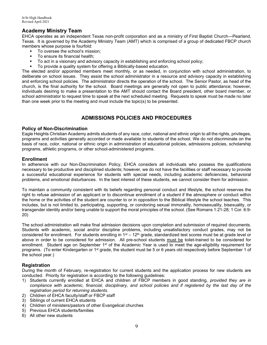## **Academy Ministry Team**

EHCA operates as an independent Texas non-profit corporation and as a ministry of First Baptist Church—Pearland, Texas. It is governed by the Academy Ministry Team (AMT) which is comprised of a group of dedicated FBCP church members whose purpose is fourfold:

- To oversee the school's mission;
- To ensure its financial health:
- To act in a visionary and advisory capacity in establishing and enforcing school policy;
- To provide a quality system for offering a Biblically-based education.

The elected and/or appointed members meet monthly, or as needed, in conjunction with school administration, to deliberate on school issues. They assist the school administrator in a resource and advisory capacity in establishing and enforcing school policies. The administrator directs the operation of the school. The Senior Pastor, as head of the church, is the final authority for the school. Board meetings are generally not open to public attendance; however, individuals desiring to make a presentation to the AMT should contact the Board president, other board member, or school administrator to request time to speak at the next scheduled meeting. Requests to speak must be made no later than one week prior to the meeting and must include the topic(s) to be presented.

## **ADMISSIONS POLICIES AND PROCEDURES**

#### **Policy of Non-Discrimination**

Eagle Heights Christian Academy admits students of any race, color, national and ethnic origin to all the rights, privileges, programs and activities generally accorded or made available to students of the school. We do not discriminate on the basis of race, color, national or ethnic origin in administration of educational policies, admissions policies, scholarship programs, athletic programs, or other school-administered programs.

#### **Enrollment**

In adherence with our Non-Discrimination Policy, EHCA considers all individuals who possess the qualifications necessary to be productive and disciplined students; however, we do not have the facilities or staff necessary to provide a successful educational experience for students with special needs, including academic deficiencies, behavioral problems, and emotional disturbances. In the best interest of these students, we cannot consider them for admission.

To maintain a community consistent with its beliefs regarding personal conduct and lifestyle, the school reserves the right to refuse admission of an applicant or to discontinue enrollment of a student if the atmosphere or conduct within the home or the activities of the student are counter to or in opposition to the Biblical lifestyle the school teaches. This includes, but is not limited to, participating, supporting, or condoning sexual immorality, homosexuality, bisexuality, or transgender identity and/or being unable to support the moral principles of the school. (See Romans 1:21-28; 1 Cor. 6:9- 20)

The school administration will make final admission decisions upon completion and submission of required documents. Students with academic, social and/or discipline problems, including unsatisfactory conduct grades, may not be considered for enrollment. For students enrolling in 1<sup>st</sup> – 12<sup>th</sup> grade, standardized test scores must be at grade level or above in order to be considered for admission. All pre-school students must be toilet-trained to be considered for enrollment. Student age on September 1<sup>st</sup> of the Academic Year is used to meet the age-eligibility requirement for programs. (To enter Kindergarten or 1<sup>st</sup> grade, the student must be 5 or 6 years old respectively before September 1 of the school year.)

#### **Registration**

During the month of February, re-registration for current students and the application process for new students are conducted. Priority for registration is according to the following guidelines:

- 1) Students currently enrolled at EHCA and children of FBCP members in good standing, *provided they are in*  compliance with academic, financial, disciplinary, and school policies and if registered by the last day of the *registration period for returning students.*
- 2) Children of EHCA faculty/staff or FBCP staff
- 3) Siblings of current EHCA students
- 4) Children of ministers/pastors of other Evangelical churches
- 5) Previous EHCA students/families
- 6) All other new students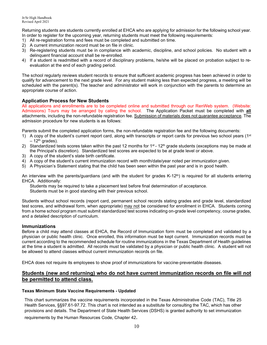Returning students are students currently enrolled at EHCA who are applying for admission for the following school year. In order to register for the upcoming year, returning students must meet the following requirements:

- 1) All re-registration forms and fees must be completed and submitted on time.
- 2) A current immunization record must be on file in clinic.
- 3) Re-registering students must be in compliance with academic, discipline, and school policies. No student with a delinquent financial account shall be re-enrolled.
- 4) If a student is readmitted with a record of disciplinary problems, he/she will be placed on probation subject to reevaluation at the end of each grading period.

The school regularly reviews student records to ensure that sufficient academic progress has been achieved in order to qualify for advancement to the next grade level. For any student making less than expected progress, a meeting will be scheduled with the parent(s). The teacher and administrator will work in conjunction with the parents to determine an appropriate course of action.

#### **Application Process for New Students**

All applications and enrollments are to be completed online and submitted through our RenWeb system. (Website: Admissions) Tours may be arranged by calling the school. The Application Packet must be completed with **all** attachments, including the non-refundable registration fee. Submission of materials does not guarantee acceptance. The admission procedure for new students is as follows:

Parents submit the completed application forms, the non-refundable registration fee and the following documents:

- 1) A copy of the student's current report card, along with transcripts or report cards for previous two school years  $(1^{st}$  $-12$ <sup>th</sup> grades).
- 2) Standardized tests scores taken within the past 12 months for 1st 12<sup>th</sup> grade students (exceptions may be made at the Principal's discretion). Standardized test scores are expected to be at grade level or above.
- 3) A copy of the student's state birth certificate.
- 4) A copy of the student's current immunization record with month/date/year noted per immunization given.
- 5) A Physician's Statement stating that the child has been seen within the past year and is in good health.

An interview with the parents/guardians (and with the student for grades K-12<sup>th</sup>) is required for all students entering EHCA. Additionally:

Students may be required to take a placement test before final determination of acceptance. Students must be in good standing with their previous school.

Students without school records (report card, permanent school records stating grades and grade level, standardized test scores, and withdrawal form, when appropriate) may not be considered for enrollment in EHCA. Students coming from a home school program must submit standardized test scores indicating on-grade level competency, course grades, and a detailed description of curriculum.

#### **Immunizations**

Before a child may attend classes at EHCA, the Record of Immunization form must be completed and validated by a physician or public health clinic. Once enrolled, this information must be kept current. Immunization records must be current according to the recommended schedule for routine immunizations in the Texas Department of Health guidelines at the time a student is admitted. All records must be validated by a physician or public health clinic. A student will not be allowed to attend classes without current immunization records on file.

EHCA does not require its employees to show proof of immunizations for vaccine-preventable diseases.

#### **Students (new and returning) who do not have current immunization records on file will not be permitted to attend class.**

#### **Texas Minimum State Vaccine Requirements - Updated**

This chart summarizes the vaccine requirements incorporated in the Texas Administrative Code (TAC), Title 25 Health Services, §§97.61-97.72. This chart is not intended as a substitute for consulting the TAC, which has other provisions and details. The Department of State Health Services (DSHS) is granted authority to set immunization

requirements by the Human Resources Code, Chapter 42.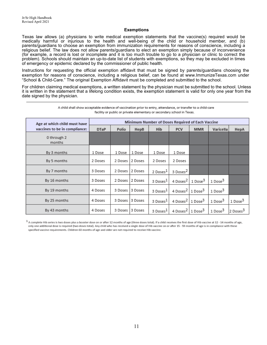#### **Exemptions**

Texas law allows (a) physicians to write medical exemption statements that the vaccine(s) required would be medically harmful or injurious to the health and well-being of the child or household member, and (b) parents/guardians to choose an exemption from immunization requirements for reasons of conscience, including a religious belief. The law does not allow parents/guardians to elect an exemption simply because of inconvenience (for example, a record is lost or incomplete and it is too much trouble to go to a physician or clinic to correct the problem). Schools should maintain an up-to-date list of students with exemptions, so they may be excluded in times of emergency or epidemic declared by the commissioner of public health.

Instructions for requesting the official exemption affidavit that must be signed by parents/guardians choosing the exemption for reasons of conscience, including a religious belief, can be found at [www.ImmunizeTexas.com u](http://www.immunizetexas.com/)nder "School & Child-Care." The original Exemption Affidavit must be completed and submitted to the school.

For children claiming medical exemptions, a written statement by the physician must be submitted to the school. Unless it is written in the statement that a lifelong condition exists, the exemption statement is valid for only one year from the date signed by the physician.

| Age at which child must have  | Minimum Number of Doses Required of Each Vaccine |         |                 |                      |                                          |            |                     |                      |  |  |  |  |
|-------------------------------|--------------------------------------------------|---------|-----------------|----------------------|------------------------------------------|------------|---------------------|----------------------|--|--|--|--|
| vaccines to be in compliance: | <b>DTaP</b>                                      | Polio   | HepB            | <b>Hib</b>           | <b>PCV</b>                               | <b>MMR</b> | Varicella           | HepA                 |  |  |  |  |
| 0 through 2<br>months         |                                                  |         |                 |                      |                                          |            |                     |                      |  |  |  |  |
| By 3 months                   | 1 Dose                                           | 1 Dose  | 1 Dose          | 1 Dose               | 1 Dose                                   |            |                     |                      |  |  |  |  |
| By 5 months                   | 2 Doses                                          | 2 Doses | 2 Doses         | 2 Doses              | 2 Doses                                  |            |                     |                      |  |  |  |  |
| By 7 months                   | 3 Doses                                          |         | 2 Doses 2 Doses | 2 Doses <sup>1</sup> | 3 Doses <sup>2</sup>                     |            |                     |                      |  |  |  |  |
| By 16 months                  | 3 Doses                                          | 2 Doses | 2 Doses         | $3$ Doses $1$        | 4 Doses <sup>2</sup> 1 Dose <sup>3</sup> |            | 1 Dose <sup>3</sup> |                      |  |  |  |  |
| By 19 months                  | 4 Doses                                          | 3 Doses | 3 Doses         | 3 Doses <sup>1</sup> | 4 Doses <sup>2</sup> 1 Dose <sup>3</sup> |            | 1 Dose <sup>3</sup> |                      |  |  |  |  |
| By 25 months                  | 4 Doses                                          | 3 Doses | 3 Doses         | 3 Doses <sup>1</sup> | 4 Doses <sup>2</sup> 1 Dose <sup>3</sup> |            | 1 Dose <sup>3</sup> | 1 Dose <sup>3</sup>  |  |  |  |  |
| By 43 months                  | 4 Doses                                          | 3 Doses | 3 Doses         | 3 Doses <sup>1</sup> | 4 Doses <sup>2</sup> 1 Dose <sup>3</sup> |            | 1 Dose <sup>3</sup> | 2 Doses <sup>3</sup> |  |  |  |  |

A child shall show acceptable evidence of vaccination prior to entry, attendance, or transfer to a child-care facility or public or private elementary or secondary school in Texas.

1 A complete Hib series is two doses plus a booster dose on or after 12 months of age (three doses total). If a child receives the first dose of Hib vaccine at 12 - 14 months of age, only one additional dose is required (two doses total). Any child who has received a single dose of Hib vaccine on or after 15 - 59 months of age is in compliance with these specified vaccine requirements. Children 60 months of age and older are not required to receive Hib vaccine.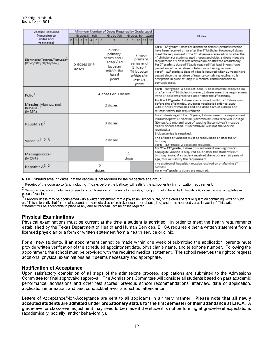| Vaccine Required                                                   | Minimum Number of Doses Required by Grade Level |                                                                                            |                                                                                                 |  |              |                                                                                                                                                                                                                                                                                                                                                                                                                                                                                                                                                                                                                                                                                                                                                                   |                                                                                                                                                                                                                                                                                                                                            |  |  |
|--------------------------------------------------------------------|-------------------------------------------------|--------------------------------------------------------------------------------------------|-------------------------------------------------------------------------------------------------|--|--------------|-------------------------------------------------------------------------------------------------------------------------------------------------------------------------------------------------------------------------------------------------------------------------------------------------------------------------------------------------------------------------------------------------------------------------------------------------------------------------------------------------------------------------------------------------------------------------------------------------------------------------------------------------------------------------------------------------------------------------------------------------------------------|--------------------------------------------------------------------------------------------------------------------------------------------------------------------------------------------------------------------------------------------------------------------------------------------------------------------------------------------|--|--|
| (Attention to                                                      | Grades K - 6th                                  | Grades 8th - 12th<br>Grade 7th                                                             |                                                                                                 |  | <b>Notes</b> |                                                                                                                                                                                                                                                                                                                                                                                                                                                                                                                                                                                                                                                                                                                                                                   |                                                                                                                                                                                                                                                                                                                                            |  |  |
| notes and                                                          | $K$ 1<br>2 3 4 5 6<br>8   9   10   11   12<br>7 |                                                                                            |                                                                                                 |  |              |                                                                                                                                                                                                                                                                                                                                                                                                                                                                                                                                                                                                                                                                                                                                                                   |                                                                                                                                                                                                                                                                                                                                            |  |  |
| footnotes)                                                         |                                                 |                                                                                            |                                                                                                 |  |              |                                                                                                                                                                                                                                                                                                                                                                                                                                                                                                                                                                                                                                                                                                                                                                   |                                                                                                                                                                                                                                                                                                                                            |  |  |
| Diphtheria/Tetanus/Pertussis <sup>1</sup><br>(DTaP/DTP/DT/Td/Tdap) | 5 doses or 4<br>doses                           | 3 dose<br>primary<br>series and 1<br>Tdap / Td<br>booster<br>within the<br>last 5<br>years | 3 dose<br>primary<br>series and<br>$1$ Tdap $/$<br>Td booster<br>within the<br>last 10<br>vears |  |              | For $K - 6th$ grade: 5 doses of diphtheria-tetanus-pertussis vaccine<br>have been received on or after the 4 <sup>th</sup> birthday. However, 4 doses<br>meet the requirement if the 4th dose was received on or after the<br>4 <sup>th</sup> birthday. For students aged 7 years and older, 3 doses meet the<br>requirement if 1 dose was received on or after the 4th birthday.<br>For 7 <sup>th</sup> grade: 1 dose of Tdap is required if at least 5 years have<br>passed since the last dose of tetanus-containing vaccine.<br>For $8th - 12th$ grade: 1 dose of Tdap is required when 10 years have<br>passed since the last dose of tetanus-containing vaccine. Td is<br>acceptable in place of Tdap if a medical contraindication to<br>pertussis exists. |                                                                                                                                                                                                                                                                                                                                            |  |  |
| Polio <sup>1</sup>                                                 | 4 doses or 3 doses                              |                                                                                            |                                                                                                 |  |              |                                                                                                                                                                                                                                                                                                                                                                                                                                                                                                                                                                                                                                                                                                                                                                   | For K - 12 <sup>th</sup> grade: 4 doses of polio; 1 dose must be received on<br>or after the 4th birthday. However, 3 doses meet the requirement<br>if the 3 <sup>nd</sup> dose was received on or after the 4 <sup>th</sup> birthday.                                                                                                     |  |  |
| Measles, Mumps, and<br>Rubella <sup>1, 2</sup><br>(MMR)            | 2 doses                                         |                                                                                            |                                                                                                 |  |              | For $K - 12^{th}$ grade: 2 doses are required, with the $1st$ dose on or<br>before the 1st birthday. Students vaccinated prior to 2009<br>with 2 doses of measles and one dose each of rubella and<br>mumps satisfy this requirement.                                                                                                                                                                                                                                                                                                                                                                                                                                                                                                                             |                                                                                                                                                                                                                                                                                                                                            |  |  |
| Hepatitis B <sup>2</sup>                                           | 3 doses                                         |                                                                                            |                                                                                                 |  |              |                                                                                                                                                                                                                                                                                                                                                                                                                                                                                                                                                                                                                                                                                                                                                                   | For students aged 11 - 15 years, 2 doses meet the requirement<br>if adult hepatitis B vaccine (Recombivax <sup>*</sup> ) was received. Dosage<br>(10mcg /1.0 mL) and type of vaccine (Recombivax <sup>"</sup> ) must be<br>clearly documented. If Recombivax <sup>7</sup> was not the vaccine<br>received, a<br>3-dose series is required. |  |  |
| Varicella <sup>1, 2, 3</sup>                                       | 2 doses                                         |                                                                                            |                                                                                                 |  |              | The 1 <sup>st</sup> dose of varicella must be received on or after the 1st<br>birthday.<br>For K - 12 <sup>th</sup> grade: 2 doses are required.                                                                                                                                                                                                                                                                                                                                                                                                                                                                                                                                                                                                                  |                                                                                                                                                                                                                                                                                                                                            |  |  |
| Meningococcal <sup>1</sup><br>(MCV4)                               |                                                 | 1<br>dose                                                                                  |                                                                                                 |  |              |                                                                                                                                                                                                                                                                                                                                                                                                                                                                                                                                                                                                                                                                                                                                                                   | For 7 <sup>th</sup> - 12 <sup>th</sup> grade, 1 dose of quadrivalent meningococcal<br>conjugate vaccine is required on or after the student's 11th<br>birthday. Note: If a student received the vaccine at 10 years of<br>age, this will satisfy the requirement.                                                                          |  |  |
| Hepatitis A <sup>1, 2</sup>                                        | 2<br>doses                                      |                                                                                            |                                                                                                 |  |              |                                                                                                                                                                                                                                                                                                                                                                                                                                                                                                                                                                                                                                                                                                                                                                   | The 1st dose of hepatitis A must be received on or after the $1u$<br>birthday.<br>For $K - 8$ <sup>th</sup> grade: 2 doses are required.                                                                                                                                                                                                   |  |  |

**NOTE:** Shaded area indicates that the vaccine is not required for the respective age group.

 $1$  Receipt of the dose up to (and including) 4 days before the birthday will satisfy the school entry immunization requirement.

<sup>2</sup> Serologic evidence of infection or serologic confirmation of immunity to measles, mumps, rubella, hepatitis B, hepatitis A, or varicella is acceptable in place of vaccine.

 $^3$  Previous illness mav be documented with a written statement from a physician, school nurse, or the child's parent or guardian containing wording such as: "This is to verify that (name of student) had varicella disease (chickenpox) on or about (date) and does not need varicella vaccine." This written statement will be acceptable in place of any and all varicella vaccine doses required.

#### **Physical Examinations**

Physical examinations must be current at the time a student is admitted. In order to meet the health requirements established by the Texas Department of Health and Human Services, EHCA requires either a written statement from a licensed physician or a form or written statement from a health service or clinic.

For all new students, if an appointment cannot be made within one week of submitting the application, parents must provide written verification of the scheduled appointment date, physician's name, and telephone number. Following the appointment, the school must be provided with the required medical statement. The school reserves the right to request additional physical examinations as it deems necessary and appropriate.

#### **Notification of Acceptance**

Upon satisfactory completion of all steps of the admissions process, applications are submitted to the Admissions Committee for final approval/disapproval. The Admissions Committee will consider all students based on past academic performance, admissions and other test scores, previous school recommendations, interview, date of application, application information, and past conduct/behavior and school attendance.

Letters of Acceptance/Non-Acceptance are sent to all applicants in a timely manner. **Please note that all newly accepted students are admitted under probationary status for the first semester of their attendance at EHCA**. A grade-level or class-level adjustment may need to be made if the student is not performing at grade-level expectations (academically, socially, and/or behaviorally).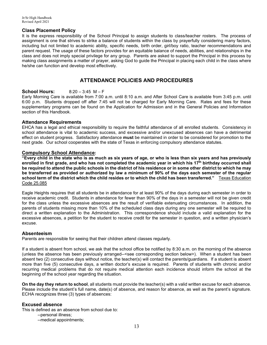#### **Class Placement Policy**

It is the express responsibility of the School Principal to assign students to class/teacher rosters. The process of assignment is one that strives to strike a balance of students within the class by prayerfully considering many factors, including but not limited to academic ability, specific needs, birth order, girl/boy ratio, teacher recommendations and parent request. The usage of these factors provides for an equitable balance of needs, abilities, and relationships in the class and does not imply special privilege for any group. Parents are asked to support the Principal in this process by making class assignments a matter of prayer, asking God to guide the Principal in placing each child in the class where he/she can function and develop most effectively.

#### **ATTENDANCE POLICIES AND PROCEDURES**

#### **School Hours:** 8:20 – 3:45 M – F

Early Morning Care is available from 7:00 a.m. until 8:10 a.m. and After School Care is available from 3:45 p.m. until 6:00 p.m. Students dropped off after 7:45 will not be charged for Early Morning Care. Rates and fees for these supplementary programs can be found on the Application for Admission and in the General Policies and Information section of this Handbook.

#### **Attendance Requirements**

EHCA has a legal and ethical responsibility to require the faithful attendance of all enrolled students. Consistency in school attendance is vital to academic success, and excessive and/or unexcused absences can have a detrimental effect on student progress. Satisfactory attendance **must** be maintained in order to be considered for promotion to the next grade. Our school cooperates with the state of Texas in enforcing compulsory attendance statutes.

#### **Compulsory School Attendance:**

**"Every child in the state who is as much as six years of age, or who is less than six years and has previously enrolled in first grade, and who has not completed the academic year in which his 17th birthday occurred shall be required to attend the public schools in the district of his residence or in some other district to which he may be transferred as provided or authorized by law a minimum of 90% of the days each semester of the regular school term of the district which the child resides or to which the child has been transferred."** Texas Education Code 25.085

Eagle Heights requires that all students be in attendance for at least 90% of the days during each semester in order to receive academic credit. Students in attendance for fewer than 90% of the days in a semester will not be given credit for the class unless the excessive absences are the result of verifiable extenuating circumstances. In addition, the parents of students missing more than 10% of the scheduled class days during any one semester will be required to direct a written explanation to the Administration. This correspondence should include a valid explanation for the excessive absences, a petition for the student to receive credit for the semester in question, and a written physician's excuse.

#### **Absenteeism**

Parents are responsible for seeing that their children attend classes regularly.

If a student is absent from school, we ask that the school office be notified by 8:30 a.m. on the morning of the absence (unless the absence has been previously arranged--<see corresponding section below>). When a student has been absent two (2) consecutive days without notice, the teacher(s) will contact the parents/guardians. If a student is absent more than five (5) consecutive days, a written doctor's excuse is required. Parents of students with chronic and/or recurring medical problems that do not require medical attention each incidence should inform the school at the beginning of the school year regarding the situation.

**On the day they return to school**, all students must provide the teacher(s) with a valid written excuse for each absence. Please include the student's full name, date(s) of absence, and reason for absence, as well as the parent's signature. ECHA recognizes three (3) types of absences:

#### **Excused absence**

This is defined as an absence from school due to:

- --personal illness;
- --medical appointments;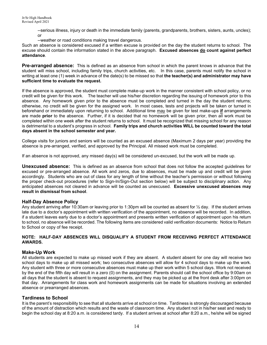--serious illness, injury or death in the immediate family (parents, grandparents, brothers, sisters, aunts, uncles); or

--weather or road conditions making travel dangerous.

Such an absence is considered excused if a written excuse is provided on the day the student returns to school. The excuse should contain the information stated in the above paragraph. **Excused absences do count against perfect attendance**.

**Pre-arranged absence:** This is defined as an absence from school in which the parent knows in advance that the student will miss school, including family trips, church activities, etc. In this case, parents must notify the school in writing at least one (1) week in advance of the date(s) to be missed so that **the teacher(s) and administrator may have sufficient time to evaluate the request.**

If the absence is approved, the student must complete make-up work in the manner consistent with school policy, or no credit will be given for this work. The teacher will use his/her discretion regarding the issuing of homework prior to this absence. Any homework given prior to the absence must be completed and turned in the day the student returns; otherwise, no credit will be given for the assigned work. In most cases, tests and projects will be taken or turned in beforehand or immediately upon returning to school. Additional time may be given for test make-ups **if** arrangements are made **prior** to the absence. Further, if it is decided that no homework will be given prior, then all work must be completed within one week after the student returns to school. It must be recognized that missing school for any reason is detrimental to a student's progress in school. **Family trips and church activities WILL be counted toward the total days absent in the school semester and year.**

College visits for juniors and seniors will be counted as an excused absence (Maximum 2 days per year) providing the absence is pre-arranged, verified, and approved by the Principal. All missed work must be completed.

If an absence is not approved, any missed day(s) will be considered un-excused, but the work will be made up.

**Unexcused absence:** This is defined as an absence from school that does not follow the accepted guidelines for excused or pre-arranged absence. All work and zeros, due to absences, must be made up and credit will be given accordingly. Students who are out of class for any length of time without the teacher's permission or without following the proper check-out procedures (refer to Sign-In/Sign-Out section below) will be subject to disciplinary action. Any anticipated absences not cleared in advance will be counted as unexcused. **Excessive unexcused absences may result in dismissal from school**.

#### **Half-Day Absence Policy**

Any student arriving after 10:30am or leaving prior to 1:30pm will be counted as absent for ½ day. If the student arrives late due to a doctor's appointment with written verification of the appointment, no absence will be recorded. In addition, if a student leaves early due to a doctor's appointment and presents written verification of appointment upon his return to school, no absence will be recorded. The following items are considered valid verification documents: Notice to Return to School or copy of fee receipt.

#### **NOTE: HALF-DAY ABSENCES WILL DISQUALIFY A STUDENT FROM RECEIVING PERFECT ATTENDANCE AWARDS.**

#### **Make-Up Work**

All students are expected to make up missed work if they are absent. A student absent for one day will receive two school days to make up all missed work; two consecutive absences will allow for 4 school days to make up the work. Any student with three or more consecutive absences must make up their work within 5 school days. Work not received by the end of the fifth day will result in a zero (0) on the assignment. Parents should call the school office by 9:00am on all days that the student is absent to request assignments, and they may be picked up at the front desk after 3:00pm on that day. Arrangements for class work and homework assignments can be made for situations involving an extended absence or prearranged absences.

#### **Tardiness to School**

It is the parent's responsibility to see that all students arrive at school on time. Tardiness is strongly discouraged because of the amount of distraction which results and the waste of classroom time. Any student not in his/her seat and ready to begin the school day at 8:20 a.m. is considered tardy. If a student arrives at school after 8:20 a.m., he/she will be signed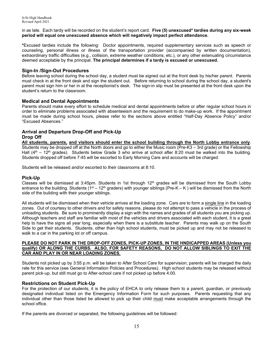in as late. Each tardy will be recorded on the student's report card. **Five (5) unexcused\* tardies during any six-week period will equal one unexcused absence which will negatively impact perfect attendance.**

**\***Excused tardies include the following: Doctor appointments, required supplementary services such as speech or counseling, personal illness or illness of the transportation provider (accompanied by written documentation), extraordinary traffic difficulties (e.g., collision, extreme weather conditions, etc.), or any other extenuating circumstance deemed acceptable by the principal. **The principal determines if a tardy is excused or unexcused.**

#### **Sign-In /Sign-Out Procedures**

Before leaving school during the school day, a student must be signed out at the front desk by his/her parent. Parents must check in at the front desk and sign the student out. Before returning to school during the school day, a student's parent must sign him or her in at the receptionist's desk. The sign-in slip must be presented at the front desk upon the student's return to the classroom.

#### **Medical and Dental Appointments**

Parents should make every effort to schedule medical and dental appointments before or after regular school hours in order to eliminate problems associated with absenteeism and the requirement to do make-up work. If the appointment must be made during school hours, please refer to the sections above entitled "Half-Day Absence Policy" and/or "Excused Absences."

## **Arrival and Departure Drop-Off and Pick-Up Drop Off**

**All students, parents, and visitors should enter the school building through the North Lobby entrance only**. Students may be dropped off at the North doors and go to either the Music room (Pre-K3 – 3rd grade) or the Fellowship Hall ( $4<sup>th</sup>$  – 12<sup>th</sup> grades). Students below Grade 3 who arrive at school after 8:20 must be walked into the building. Students dropped off before 7:45 will be escorted to Early Morning Care and accounts will be charged.

Students will be released and/or escorted to their classrooms at 8:10.

#### **Pick-Up**

Classes will be dismissed at 3:45pm. Students in 1st through  $12<sup>th</sup>$  grades will be dismissed from the South Lobby entrance to the building. Students ( $1^{st} - 12^{th}$  graders) with younger siblings (Pre-K – K) will be dismissed from the North side of the building with their younger siblings.

All students will be dismissed when their vehicle arrives at the loading zone. Cars are to form a single line in the loading zones. Out of courtesy to other drivers and for safety reasons, please do not attempt to pass a vehicle in the process of unloading students. Be sure to prominently display a sign with the names and grades of all students you are picking up. Although teachers and staff are familiar with most of the vehicles and drivers associated with each student, it is a great help to have the signs all year long, especially when there is a substitute teacher. Parents may walk up on the South Side to get their students. Students, other than high school students, must be picked up and may not be released to walk to a car in the parking lot or off campus.

#### **PLEASE DO NOT PARK IN THE DROP-OFF ZONES, PICK-UP ZONES, IN THE HNDICAPPED AREAS (Unless you qualify) OR ALONG THE CURBS. ALSO, FOR SAFETY REASONS, DO NOT ALLOW SIBLINGS TO EXIT THE CAR AND PLAY IN OR NEAR LOADING ZONES.**

Students not picked up by 3:55 p.m. will be taken to After School Care for supervision; parents will be charged the daily rate for this service (see General Information Policies and Procedures). High school students may be released without parent pick-up, but still must go to After-school care if not picked up before 4:00.

#### **Restrictions on Student Pick-Up**

For the protection of our students, it is the policy of EHCA to only release them to a parent, guardian, or previously designated individual listed on the Emergency Information Form for such purposes. Parents requesting that any individual other than those listed be allowed to pick up their child must make acceptable arrangements through the school office.

If the parents are divorced or separated, the following guidelines will be followed: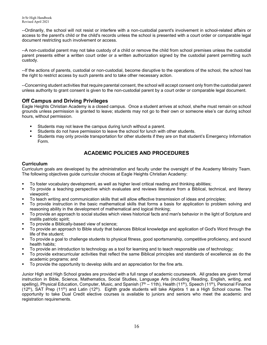--Ordinarily, the school will not resist or interfere with a non-custodial parent's involvement in school-related affairs or access to the parent's child or the child's records unless the school is presented with a court order or comparable legal document restricting such involvement or access.

--A non-custodial parent may not take custody of a child or remove the child from school premises unless the custodial parent presents either a written court order or a written authorization signed by the custodial parent permitting such custody.

--If the actions of parents, custodial or non-custodial, become disruptive to the operations of the school, the school has the right to restrict access by such parents and to take other necessary action.

--Concerning student activities that require parental consent, the school will accept consent only from the custodial parent unless authority to grant consent is given to the non-custodial parent by a court order or comparable legal document.

### **Off Campus and Driving Privileges**

Eagle Heights Christian Academy is a closed campus. Once a student arrives at school, she/he must remain on school grounds unless permission is granted to leave; students may not go to their own or someone else's car during school hours, without permission.

- Students may not leave the campus during lunch without a parent.
- Students do not have permission to leave the school for lunch with other students.<br>Students may only provide transportation for other students if they are on that stud
- Students may only provide transportation for other students if they are on that student's Emergency Information Form.

## **ACADEMIC POLICIES AND PROCEDURES**

#### **Curriculum**

Curriculum goals are developed by the administration and faculty under the oversight of the Academy Ministry Team. The following objectives guide curricular choices at Eagle Heights Christian Academy:

- To foster vocabulary development, as well as higher level critical reading and thinking abilities;<br>■ To provide a teaching perspective which evaluates and reviews literature from a Biblical te
- To provide a teaching perspective which evaluates and reviews literature from a Biblical, technical, and literary viewpoint;
- To teach writing and communication skills that will allow effective transmission of ideas and principles;
- To provide instruction in the basic mathematical skills that forms a basis for application to problem solving and reasoning ability in the development of mathematical and logical thinking;
- To provide an approach to social studies which views historical facts and man's behavior in the light of Scripture and instills patriotic spirit;
- To provide a Biblically-based view of science;
- To provide an approach to Bible study that balances Biblical knowledge and application of God's Word through the life of the student;
- To provide a goal to challenge students to physical fitness, good sportsmanship, competitive proficiency, and sound health habits;
- To provide an introduction to technology as a tool for learning and to teach responsible use of technology;
- To provide extracurricular activities that reflect the same Biblical principles and standards of excellence as do the academic programs; and
- To provide the opportunity to develop skills and an appreciation for the fine arts.

Junior High and High School grades are provided with a full range of academic coursework. All grades are given formal instruction in Bible, Science, Mathematics, Social Studies, Language Arts (including Reading, English, writing, and spelling), Physical Education, Computer, Music, and Spanish ( $7<sup>th</sup> - 11th$ ), Health ( $11<sup>th</sup>$ ), Speech ( $11<sup>th</sup>$ ), Personal Finance  $(12<sup>th</sup>)$ , SAT Prep  $(11<sup>th</sup>)$  and Latin  $(12<sup>th</sup>)$ . Eighth grade students will take Algebra 1 as a High School course. The opportunity to take Dual Credit elective courses is available to juniors and seniors who meet the academic and registration requirements.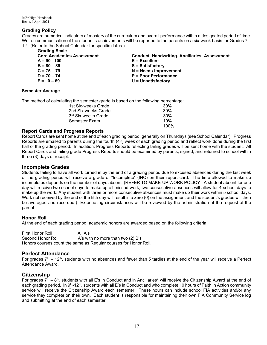#### **Grading Policy**

Grades are numerical indicators of mastery of the curriculum and overall performance within a designated period of time. Written communication of the student's achievements will be reported to the parents on a six-week basis for Grades 7 – 12. (Refer to the School Calendar for specific dates.)

| <b>Core Academics Assessment</b> | <b>Conduct, Handwriting. Ancillaries Assessment</b> |
|----------------------------------|-----------------------------------------------------|
| $A = 90 - 100$                   | $E = Excellent$                                     |
| $B = 80 - 89$                    | <b>S</b> = Satisfactory                             |
| $C = 75 - 79$                    | $N =$ Needs Improvement                             |
| $D = 70 - 74$                    | <b>P = Poor Performance</b>                         |
| $F = 0 - 69$                     | $U =$ Unsatisfactory                                |
|                                  |                                                     |

#### **Semester Average**

The method of calculating the semester grade is based on the following percentage:

| 1st Six-weeks Grade             | 30%  |
|---------------------------------|------|
| 2nd Six-weeks Grade             | 30%  |
| 3 <sup>rd</sup> Six-weeks Grade | 30%  |
| Semester Exam                   | 10%  |
|                                 | 100% |

#### **Report Cards and Progress Reports**

Report Cards are sent home at the end of each grading period, generally on Thursdays (see School Calendar). Progress Reports are emailed to parents during the fourth  $(4<sup>th</sup>)$  week of each grading period and reflect work done during the first half of the grading period. In addition, Progress Reports reflecting failing grades will be sent home with the student. All Report Cards and failing grade Progress Reports should be examined by parents, signed, and returned to school within three (3) days of receipt.

### **Incomplete Grades**

Students failing to have all work turned in by the end of a grading period due to excused absences during the last week of the grading period will receive a grade of "Incomplete" (INC) on their report card. The time allowed to make up incompletes depends on the number of days absent. (REFER TO MAKE-UP WORK POLICY - A student absent for one day will receive two school days to make up all missed work; two consecutive absences will allow for 4 school days to make up the work. Any student with three or more consecutive absences must make up their work within 5 school days. Work not received by the end of the fifth day will result in a zero (0) on the assignment and the student's grades will then be averaged and recorded.) Extenuating circumstances will be reviewed by the administration at the request of the parent.

#### **Honor Roll**

At the end of each grading period, academic honors are awarded based on the following criteria:

First Honor Roll All A's<br>Second Honor Roll A's wit A's with no more than two  $(2)$  B's Honors courses count the same as Regular courses for Honor Roll.

## **Perfect Attendance**

For grades  $7<sup>th</sup> - 12<sup>th</sup>$ , students with no absences and fewer than 5 tardies at the end of the year will receive a Perfect Attendance Award.

## **Citizenship**

For grades  $7^{\text{th}} - 8^{\text{th}}$ , students with all E's in Conduct and in Ancillaries\* will receive the Citizenship Award at the end of each grading period. In 9<sup>th</sup>-12<sup>th</sup>, students with all E's in Conduct and who complete 10 hours of Faith In Action community service will receive the Citizenship Award each semester. These hours can include school FIA activities and/or any service they complete on their own. Each student is responsible for maintaining their own FIA Community Service log and submitting at the end of each semester.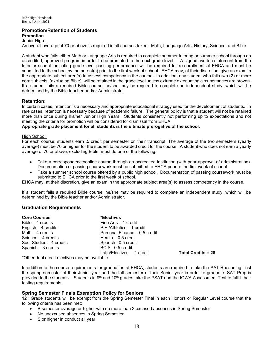#### **Promotion/Retention of Students Promotion**

## Junior High :

An overall average of 70 or above is required in all courses taken: Math, Language Arts, History, Science, and Bible.

A student who fails either Math or Language Arts is required to complete summer tutoring or summer school through an accredited, approved program in order to be promoted to the next grade level. A signed, written statement from the tutor or school indicating grade-level passing performance will be required for re-enrollment at EHCA and must be submitted to the school by the parent(s) prior to the first week of school. EHCA may, at their discretion, give an exam in the appropriate subject area(s) to assess competency in the course. In addition, any student who fails two (2) or more core subjects, (excluding Bible), will be retained in the grade level unless extreme extenuating circumstances are proven. If a student fails a required Bible course, he/she may be required to complete an independent study, which will be determined by the Bible teacher and/or Administrator.

#### **Retention:**

In certain cases, retention is a necessary and appropriate educational strategy used for the development of students. In rare cases, retention is necessary because of academic failure. The general policy is that a student will not be retained more than once during his/her Junior High Years. Students consistently not performing up to expectations and not meeting the criteria for promotion will be considered for dismissal from EHCA.

**Appropriate grade placement for all students is the ultimate prerogative of the school.**

#### High School:

For each course, students earn .5 credit per semester on their transcript. The average of the two semesters (yearly average) must be 70 or higher for the student to be awarded credit for the course. A student who does not earn a yearly average of 70 or above, excluding Bible, must do one of the following:

- Take a correspondence/online course through an accredited institution (with prior approval of administration). Documentation of passing coursework must be submitted to EHCA prior to the first week of school.
- Take a summer school course offered by a public high school. Documentation of passing coursework must be submitted to EHCA prior to the first week of school.

EHCA may, at their discretion, give an exam in the appropriate subject area(s) to assess competency in the course.

If a student fails a required Bible course, he/she may be required to complete an independent study, which will be determined by the Bible teacher and/or Administrator.

#### **Graduation Requirements**

| <b>Core Courses</b>                                                                                                                                                                                                              | *Electives                    |
|----------------------------------------------------------------------------------------------------------------------------------------------------------------------------------------------------------------------------------|-------------------------------|
| $Bible - 4$ credits                                                                                                                                                                                                              | Fine Arts - 1 credit          |
| English $-4$ credits                                                                                                                                                                                                             | P.E./Athletics - 1 credit     |
| Math $-4$ credits                                                                                                                                                                                                                | Personal Finance - 0.5 credit |
| Science $-4$ credits                                                                                                                                                                                                             | Health $-0.5$ credit          |
| Soc. Studies – 4 credits                                                                                                                                                                                                         | Speech-0.5 credit             |
| Spanish $-3$ credits                                                                                                                                                                                                             | BCIS-0.5 credit               |
|                                                                                                                                                                                                                                  | Latin/Electives $-1$ credit   |
| $\star$ and the set of the set of the set of the set of the set of the set of the set of the set of the set of the set of the set of the set of the set of the set of the set of the set of the set of the set of the set of the |                               |

**Total Credits = 28** 

\*Other dual credit electives may be available

In addition to the course requirements for graduation at EHCA, students are required to take the SAT Reasoning Test the spring semester of their Junior year and the fall semester of their Senior year in order to graduate. SAT Prep is provided to the students. Students in 9<sup>th</sup> and 10<sup>th</sup> grades take the PSAT and the IOWA Assessment Test to fulfill their testing requirements.

#### **Spring Semester Finals Exemption Policy for Seniors**

12<sup>th</sup> Grade students will be exempt from the Spring Semester Final in each Honors or Regular Level course that the following criteria has been met:

- B semester average or higher with no more than 3 excused absences in Spring Semester
- No unexcused absences in Spring Semester
- S or higher in conduct all year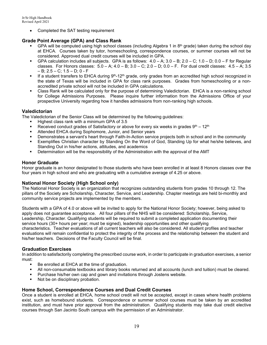• Completed the SAT testing requirement

#### **Grade Point Average (GPA) and Class Rank**

- GPA will be computed using high school classes (including Algebra 1 in 8<sup>th</sup> grade) taken during the school day at EHCA. Courses taken by tutor, homeschooling, correspondence courses, or summer courses will not be considered. Approved dual credit courses will be included in GPA.
- GPA calculation includes all subjects. GPA is as follows:  $4.0 A$ ;  $3.0 B$ ;  $2.0 C$ ;  $1.0 D$ ;  $0.0 F$  for Regular classes. For Honors classes:  $5.0 - A$ ;  $4.0 - B$ ;  $3.0 - C$ ;  $2.0 - D$ ;  $0.0 - F$ . For dual credit classes:  $4.5 - A$ ;  $3.5$ – B; 2.5 – C; 1.5 – D; 0 - F
- If a student transfers to EHCA during 9<sup>th</sup>-12<sup>th</sup> grade, only grades from an accredited high school recognized in the state of Texas will be included in GPA for class rank purposes. Grades from homeschooling or a nonaccredited private school will not be included in GPA calculations.
- Class Rank will be calculated only for the purpose of determining Valedictorian. EHCA is a non-ranking school for College Admissions Purposes. Please inquire further information from the Admissions Office of your prospective University regarding how it handles admissions from non-ranking high schools.

#### **Valedictorian**

The Valedictorian of the Senior Class will be determined by the following guidelines:

- Highest class rank with a minimum GPA of 3.5
- Received conduct grades of Satisfactory or above for every six weeks in grades  $9<sup>th</sup> 12<sup>th</sup>$
- **Attended EHCA during Sophomore, Junior, and Senior years**
- Demonstrates a servant's heart through Faith-In-Action service projects both in school and in the community
- Exemplifies Christian character by Standing On the Word of God, Standing Up for what he/she believes, and Standing Out in his/her actions, attitudes, and academics
- Determination will be the responsibility of the Administration with the approval of the AMT

#### **Honor Graduate**

Honor graduate is an honor designated to those students who have been enrolled in at least 8 Honors classes over the four years in high school and who are graduating with a cumulative average of 4.25 or above.

#### **National Honor Society (High School only)**

The National Honor Society is an organization that recognizes outstanding students from grades 10 through 12. The pillars of the Society are Scholarship, Character, Service, and Leadership. Chapter meetings are held bi-monthly and community service projects are implemented by the members.

Students with a GPA of 4.0 or above will be invited to apply for the National Honor Society; however, being asked to apply does not guarantee acceptance. All four pillars of the NHS will be considered: Scholarship, Service, Leadership, Character. Qualifying students will be required to submit a completed application documenting their service hours (30+ hours per year; must be signed), leadership opportunities and other qualifying characteristics. Teacher evaluations of all current teachers will also be considered. All student profiles and teacher evaluations will remain confidential to protect the integrity of the process and the relationship between the student and his/her teachers. Decisions of the Faculty Council will be final.

#### **Graduation Exercises**

In addition to satisfactorily completing the prescribed course work, in order to participate in graduation exercises, a senior must:

- Be enrolled at EHCA at the time of graduation.
- All non-consumable textbooks and library books returned and all accounts (lunch and tuition) must be cleared.
- **Purchase his/her own cap and gown and invitations through Jostens website.**
- Not be on disciplinary probation.

#### **Home School, Correspondence Courses and Dual Credit Courses**

Once a student is enrolled at EHCA, home school credit will not be accepted, except in cases where health problems exist, such as homebound students. Correspondence or summer school courses must be taken by an accredited institution, and must have prior approval from the administration. Qualifying students may take dual credit elective courses through San Jacinto South campus with the permission of an Administrator.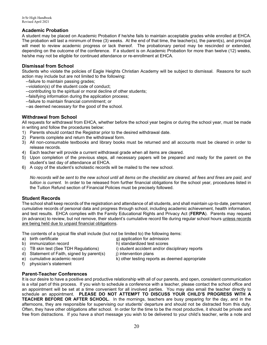#### **Academic Probation**

A student may be placed on Academic Probation if he/she fails to maintain acceptable grades while enrolled at EHCA. The probation will last a minimum of three (3) weeks. At the end of that time, the teacher(s), the parent(s), and principal will meet to review academic progress or lack thereof. The probationary period may be rescinded or extended, depending on the outcome of the conference. If a student is on Academic Probation for more than twelve (12) weeks, he/she may not be eligible for continued attendance or re-enrollment at EHCA.

#### **Dismissal from School**

Students who violate the policies of Eagle Heights Christian Academy will be subject to dismissal. Reasons for such action may include but are not limited to the following:

- --failure to maintain passing grades;
- --violation(s) of the student code of conduct;
- --contributing to the spiritual or moral decline of other students;
- --falsifying information during the application process;
- --failure to maintain financial commitment; or
- --as deemed necessary for the good of the school.

#### **Withdrawal from School**

All requests for withdrawal from EHCA, whether before the school year begins or during the school year, must be made in writing and follow the procedures below:

- 1) Parents should contact the Registrar prior to the desired withdrawal date.
- 2) Parents complete and return the withdrawal form.
- 3) All non-consumable textbooks and library books must be returned and all accounts must be cleared in order to release records.
- 4) Each teacher will provide a current withdrawal grade when all items are cleared.
- 5) Upon completion of the previous steps, all necessary papers will be prepared and ready for the parent on the student's last day of attendance at EHCA.
- 6) A copy of the student's scholastic records will be mailed to the new school.

*No records will be sent to the new school until all items on the checklist are cleared, all fees and fines are paid, and tuition is current.* In order to be released from further financial obligations for the school year, procedures listed in the Tuition Refund section of Financial Policies must be precisely followed.

#### **Student Records**

The school shall keep records of the registration and attendance of all students, and shall maintain up-to-date, permanent cumulative records of personal data and progress through school, including academic achievement, health information, and test results. EHCA complies with the Family Educational Rights and Privacy Act (**FERPA**). Parents may request (in advance) to review, but not remove, their student's cumulative record file during regular school hours unless records are being held due to unpaid financial obligations.

The contents of a typical file shall include (but not be limited to) the following items:<br>a) birth certificate  $\alpha$  and item a application for admission

- 
- 
- g) application for admission
- 
- b) immunization record h) standardized test scores<br>c) TB skin test (See TDH Regulations) i) student accident and/or di
	- i) student accident and/or disciplinary reports
- d) Statement of Faith, signed by parent(s) i) intervention plans
- e) cumulative academic record k) other testing reports as deemed appropriate
- f) physician's statement

#### **Parent-Teacher Conferences**

It is our desire to have a positive and productive relationship with all of our parents, and open, consistent communication is a vital part of this process. If you wish to schedule a conference with a teacher, please contact the school office and an appointment will be set at a time convenient for all involved parties. You may also email the teacher directly to schedule an appointment. **PLEASE DO NOT ATTEMPT TO DISCUSS YOUR CHILD'S PROGRESS WITH A TEACHER BEFORE OR AFTER SCHOOL.** In the mornings, teachers are busy preparing for the day, and in the afternoons, they are responsible for supervising our students' departure and should not be distracted from this duty. Often, they have other obligations after school. In order for the time to be the most productive, it should be private and free from distractions. If you have a short message you wish to be delivered to your child's teacher, write a note and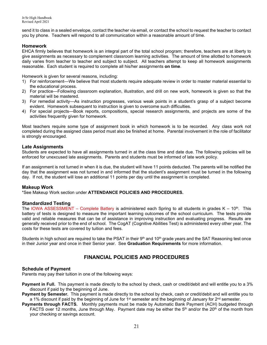send it to class in a sealed envelope, contact the teacher via email, or contact the school to request the teacher to contact you by phone. Teachers will respond to all communication within a reasonable amount of time.

#### **Homework**

EHCA firmly believes that homework is an integral part of the total school program; therefore, teachers are at liberty to give assignments as necessary to complement classroom learning activities. The amount of time allotted to homework daily varies from teacher to teacher and subject to subject. All teachers attempt to keep all homework assignments reasonable. Each student is required to complete all his/her assignments **on time**.

Homework is given for several reasons, including:

- 1) For reinforcement—We believe that most students require adequate review in order to master material essential to the educational process.
- 2) For practice—Following classroom explanation, illustration, and drill on new work, homework is given so that the material will be mastered.
- 3) For remedial activity—As instruction progresses, various weak points in a student's grasp of a subject become evident. Homework subsequent to instruction is given to overcome such difficulties.
- 4) For special projects—Book reports, compositions, special research assignments, and projects are some of the activities frequently given for homework.

Most teachers require some type of assignment book in which homework is to be recorded. Any class work not completed during the assigned class period must also be finished at home. Parental involvement in the role of facilitator is strongly encouraged.

#### **Late Assignments**

Students are expected to have all assignments turned in at the class time and date due. The following policies will be enforced for unexcused late assignments. Parents and students must be informed of late work policy.

If an assignment is not turned in when it is due, the student will have 11 points deducted. The parents will be notified the day that the assignment was not turned in and informed that the student's assignment must be turned in the following day. If not, the student will lose an additional 11 points per day until the assignment is completed.

#### **Makeup Work**

\*See Makeup Work section under **ATTENDANCE POLICIES AND PROCEDURES.**

#### **Standardized Testing**

The IOWA ASSESSMENT – Complete Battery is administered each Spring to all students in grades  $K - 10^{th}$ . This battery of tests is designed to measure the important learning outcomes of the school curriculum. The tests provide valid and reliable measures that can be of assistance in improving instruction and evaluating progress. Results are generally received prior to the end of school. The CogAT (Cognitive Abilities Test) is administered every other year. The costs for these tests are covered by tuition and fees.

Students in high school are required to take the PSAT in their  $9<sup>th</sup>$  and  $10<sup>th</sup>$  grade years and the SAT Reasoning test once in their Junior year and once in their Senior year. See **Graduation Requirements** for more information.

## **FINANCIAL POLICIES AND PROCEDURES**

#### **Schedule of Payment**

Parents may pay their tuition in one of the following ways:

- **Payment in Full.** This payment is made directly to the school by check, cash or credit/debit and will entitle you to a 3% discount if paid by the beginning of June.
- **Payment by Semester.** This payment is made directly to the school by check, cash or credit/debit and will entitle you to a 1% discount if paid by the beginning of June for 1<sup>st</sup> semester and the beginning of January for 2<sup>nd</sup> semester.
- **Payments through FACTS.** Monthly payments must be made by Automatic Bank Payment (ACH) budgeted through FACTS over 12 months, June through May. Payment date may be either the 5<sup>th</sup> and/or the 20<sup>th</sup> of the month from your checking or savings account.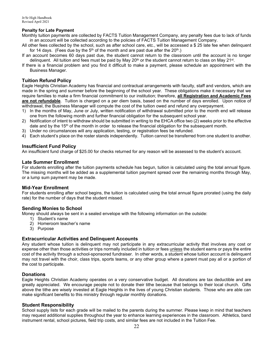#### **Penalty for Late Payment**

- Monthly tuition payments are collected by FACTS Tuition Management Company, any penalty fees due to lack of funds in an account will be collected according to the policies of FACTS Tuition Management Company.
- All other fees collected by the school, such as after school care, etc., will be accessed a \$ 25 late fee when delinquent for 14 days. (Fees due by the  $5<sup>th</sup>$  of the month and are past due after the  $20<sup>th</sup>$ .)
- If an account becomes 60 days past due, the student cannot return to the classroom until the account is no longer delinquent. All tuition and fees must be paid by May 20<sup>th</sup> or the student cannot return to class on May 21<sup>st</sup>.
- If there is a financial problem and you find it difficult to make a payment, please schedule an appointment with the Business Manager.

#### **Tuition Refund Policy**

Eagle Heights Christian Academy has financial and contractual arrangements with faculty, staff and vendors, which are made in the spring and summer before the beginning of the school year. These obligations make it necessary that we require families to make a firm financial commitment to our institution; therefore, **all Registration and Academic Fees are not refundable**. Tuition is charged on a per diem basis, based on the number of days enrolled. Upon notice of withdrawal, the Business Manager will compute the cost of the tuition owed and refund any overpayment.

- 1) In the months of May, June or July, written notification of withdrawal submitted prior to the month end will release one from the following month and further financial obligation for the subsequent school year.
- 2) Notification of intent to withdraw should be submitted in writing to the EHCA office two (2) weeks prior to the effective date and by the 15th of the month in order to release the financial obligation for the subsequent month.
- 3) Under no circumstances will any application, testing, or registration fees be refunded.
- 4) Each student's place on the roster stands independently. Tuition cannot be transferred from one student to another.

#### **Insufficient Fund Policy**

An insufficient fund charge of \$25.00 for checks returned for any reason will be assessed to the student's account.

#### **Late Summer Enrollment**

For students enrolling after the tuition payments schedule has begun, tuition is calculated using the total annual figure. The missing months will be added as a supplemental tuition payment spread over the remaining months through May, or a lump sum payment may be made.

#### **Mid-Year Enrollment**

For students enrolling after school begins, the tuition is calculated using the total annual figure prorated (using the daily rate) for the number of days that the student missed.

#### **Sending Monies to School**

Money should always be sent in a sealed envelope with the following information on the outside:

- 1) Student's name
- 2) Homeroom teacher's name
- 3) Purpose

#### **Extracurricular Activities and Delinquent Accounts**

Any student whose tuition is delinquent may not participate in any extracurricular activity that involves any cost or expense other than those activities or trips normally included in tuition or fees unless the student earns or pays the entire cost of the activity through a school-sponsored fundraiser. In other words, a student whose tuition account is delinquent may not travel with the choir, class trips, sports teams, or any other group where a parent must pay all or a portion of the cost to participate.

#### **Donations**

Eagle Heights Christian Academy operates on a very conservative budget. All donations are tax deductible and are greatly appreciated. We encourage people not to donate their tithe because that belongs to their local church. Gifts above the tithe are wisely invested at Eagle Heights in the lives of young Christian students. Those who are able can make significant benefits to this ministry through regular monthly donations.

#### **Student Responsibility**

School supply lists for each grade will be mailed to the parents during the summer. Please keep in mind that teachers may request additional supplies throughout the year to enhance learning experiences in the classroom. Athletics, band instrument rental, school pictures, field trip costs, and similar fees are not included in the Tuition Fee.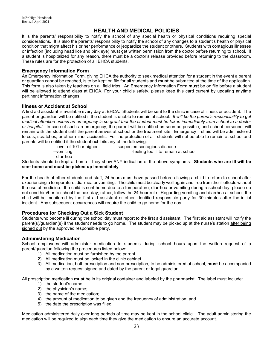## **HEALTH AND MEDICAL POLICIES**

It is the parents' responsibility to notify the school of any special health or physical conditions requiring special considerations. It is also the parents' responsibility to notify the school of any changes to a student's health or physical condition that might affect his or her performance or jeopardize the student or others. Students with contagious illnesses or infection (including head lice and pink eye) must get written permission from the doctor before returning to school. If a student is hospitalized for any reason, there must be a doctor's release provided before returning to the classroom. These rules are for the protection of all EHCA students.

#### **Emergency Information Form**

An Emergency Information Form, giving EHCA the authority to seek medical attention for a student in the event a parent or guardian cannot be reached, is to be kept on file for all students and **must** be submitted at the time of the application. This form is also taken by teachers on all field trips. An Emergency Information Form **must** be on file before a student will be allowed to attend class at EHCA. For your child's safety, please keep this card current by updating anytime pertinent information changes.

#### **Illness or Accident at School**

A first aid assistant is available every day at EHCA. Students will be sent to the clinic in case of illness or accident. The parent or guardian will be notified if the student is unable to remain at school. *It will be the parent's responsibility to get medical attention unless an emergency is so great that the student must be taken immediately from school to a doctor or hospital*. In case of such an emergency, the parent will be notified as soon as possible, and school personnel will remain with the student until the parent arrives at school or the treatment site. Emergency first aid will be administered to cuts, scratches, or other minor accidents. For the protection of all, students will not be able to remain at school and parents will be notified if the student exhibits any of the following:

-suspected contagious disease --vomiting -feeling too ill to remain at school

--diarrhea

Students should be kept at home if they show ANY indication of the above symptoms. **Students who are ill will be sent home and must be picked up immediately**.

For the health of other students and staff, 24 hours must have passed before allowing a child to return to school after experiencing a temperature, diarrhea or vomiting. The child must be clearly well again and free from the ill effects without the use of medicine. If a child is sent home due to a temperature, diarrhea or vomiting during a school day, please do not send him/her to school the next day; rather, follow the 24 hour rule. Regarding vomiting and diarrhea at school, the child will be monitored by the first aid assistant or other identified responsible party for 30 minutes after the initial incident. Any subsequent occurrences will require the child to go home for the day.

#### **Procedures for Checking Out a Sick Student**

Students who become ill during the school day must report to the first aid assistant. The first aid assistant will notify the parent(s)/guardian(s) if the student needs to go home. The student may be picked up at the nurse's station after being signed out by the approved responsible party.

#### **Administering Medication**

School employees will administer medication to students during school hours upon the written request of a parent/guardian following the procedures listed below:

- 1) All medication must be furnished by the parent.
- 2) All medication must be locked in the clinic cabinet.
- 3) All medication, both prescription and non-prescription, to be administered at school, **must** be accompanied by a written request signed and dated by the parent or legal guardian.

All prescription medication **must** be in its original container and labeled by the pharmacist. The label must include:

- 1) the student's name;
- 2) the physician's name;
- 3) the name of the medication;
- 4) the amount of medication to be given and the frequency of administration; and
- 5) the date the prescription was filled.

Medication administered daily over long periods of time may be kept in the school clinic. The adult administering the medication will be required to sign each time they give the medication to ensure an accurate account.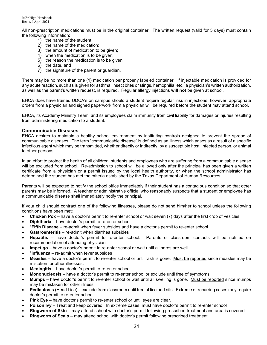All non-prescription medications must be in the original container. The written request (valid for 5 days) must contain the following information:

- 1) the name of the student;
- 2) the name of the medication;
- 3) the amount of medication to be given;
- 4) when the medication is to be given;
- 5) the reason the medication is to be given;
- 6) the date, and
- 7) the signature of the parent or guardian.

There may be no more than one (1) medication per properly labeled container. If injectable medication is provided for any acute reaction, such as is given for asthma, insect bites or stings, hemophilia, etc., a physician's written authorization, as well as the parent's written request, is required. Regular allergy injections **will not** be given at school.

EHCA does have trained UDCA's on campus should a student require regular insulin injections; however, appropriate orders from a physician and signed paperwork from a physician will be required before the student may attend school.

EHCA, its Academy Ministry Team, and its employees claim immunity from civil liability for damages or injuries resulting from administering medication to a student.

#### **Communicable Diseases**

EHCA desires to maintain a healthy school environment by instituting controls designed to prevent the spread of communicable diseases. The term "communicable disease" is defined as an illness which arises as a result of a specific infectious agent which may be transmitted, whether directly or indirectly, by a susceptible host, infected person, or animal to other persons.

In an effort to protect the health of all children, students and employees who are suffering from a communicable disease will be excluded from school. Re-admission to school will be allowed only after the principal has been given a written certificate from a physician or a permit issued by the local health authority, or when the school administrator has determined the student has met the criteria established by the Texas Department of Human Resources.

Parents will be expected to notify the school office immediately if their student has a contagious condition so that other parents may be informed. A teacher or administrative official who reasonably suspects that a student or employee has a communicable disease shall immediately notify the principal.

If your child should contract one of the following illnesses, please do not send him/her to school unless the following conditions have been met:

- **Chicken Pox** have a doctor's permit to re-enter school or wait seven (7) days after the first crop of vesicles
- **Diphtheria** have doctor's permit to re-enter school
- \***Fifth Disease** re-admit when fever subsides and have a doctor's permit to re-enter school
- **Gastroenteritis** re-admit when diarrhea subsides
- **Hepatitis** have doctor's permit to re-enter school. Parents of classroom contacts will be notified on recommendation of attending physician.
- **Impetigo** have a doctor's permit to re-enter school or wait until all sores are well
- \***Influenza** re-admit when fever subsides
- **Measles** have a doctor's permit to re-enter school or until rash is gone. Must be reported since measles may be mistaken for other illnesses.
- **Meningitis** have doctor's permit to re-enter school
- **Mononucleosis** have a doctor's permit to re-enter school or exclude until free of symptoms
- **Mumps** have doctor's permit to re-enter school or wait until all swelling is gone. Must be reported since mumps may be mistaken for other illness.
- **Pediculosis** (Head Lice) exclude from classroom until free of lice and nits. Extreme or recurring cases may require doctor's permit to re-enter school.
- **Pink Eye** have doctor's permit to re-enter school or until eyes are clear.
- **Poison Ivy** Treat and keep covered. In extreme cases, must have doctor's permit to re-enter school
- **Ringworm of Skin** may attend school with doctor's permit following prescribed treatment and area is covered
- **Ringworm of Scalp** may attend school with doctor's permit following prescribed treatment.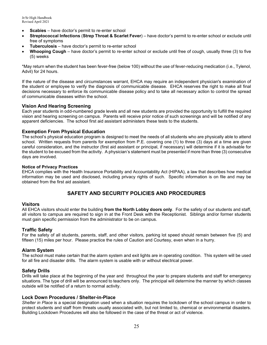- **Scabies** have doctor's permit to re-enter school
- **Streptococcal Infections** (**Strep Throat & Scarlet Fever**) have doctor's permit to re-enter school or exclude until free of symptoms
- **Tuberculosis** have doctor's permit to re-enter school
- **Whooping Cough** have doctor's permit to re-enter school or exclude until free of cough, usually three (3) to five (5) weeks

\*May return when the student has been fever-free (below 100) without the use of fever-reducing medication (i.e., Tylenol, Advil) for 24 hours.

If the nature of the disease and circumstances warrant, EHCA may require an independent physician's examination of the student or employee to verify the diagnosis of communicable disease. EHCA reserves the right to make all final decisions necessary to enforce its communicable disease policy and to take all necessary action to control the spread of communicable diseases within the school.

#### **Vision And Hearing Screening**

Each year students in odd-numbered grade levels and all new students are provided the opportunity to fulfill the required vision and hearing screening on campus. Parents will receive prior notice of such screenings and will be notified of any apparent deficiencies. The school first aid assistant administers these tests to the students.

#### **Exemption From Physical Education**

The school's physical education program is designed to meet the needs of all students who are physically able to attend school. Written requests from parents for exemption from P.E. covering one (1) to three (3) days at a time are given careful consideration, and the instructor (first aid assistant or principal, if necessary) will determine if it is advisable for the student to be excused from the activity. A physician's statement must be presented if more than three (3) consecutive days are involved.

#### **Notice of Privacy Practices**

EHCA complies with the Health Insurance Portability and Accountability Act (HIPAA), a law that describes how medical information may be used and disclosed, including privacy rights of such. Specific information is on file and may be obtained from the first aid assistant.

## **SAFETY AND SECURITY POLICIES AND PROCEDURES**

#### **Visitors**

All EHCA visitors should enter the building **from the North Lobby doors only**. For the safety of our students and staff, all visitors to campus are required to sign in at the Front Desk with the Receptionist. Siblings and/or former students must gain specific permission from the administrator to be on campus.

#### **Traffic Safety**

For the safety of all students, parents, staff, and other visitors, parking lot speed should remain between five (5) and fifteen (15) miles per hour. Please practice the rules of Caution and Courtesy, even when in a hurry.

#### **Alarm System**

The school must make certain that the alarm system and exit lights are in operating condition. This system will be used for all fire and disaster drills. The alarm system is usable with or without electrical power.

#### **Safety Drills**

Drills will take place at the beginning of the year and throughout the year to prepare students and staff for emergency situations. The type of drill will be announced to teachers only. The principal will determine the manner by which classes outside will be notified of a return to normal activity.

#### **Lock Down Procedures / Shelter-in-Place**

*Shelter in Place* is a special designation used when a situation requires the lockdown of the school campus in order to protect students and staff from threats usually associated with, but not limited to, chemical or environmental disasters. Building Lockdown Procedures will also be followed in the case of the threat or act of violence.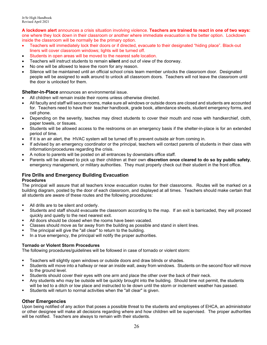**A lockdown alert** announces a crisis situation involving violence. **Teachers are trained to react in one of two ways:**  one where they lock down in their classroom or another where immediate evacuation is the better option. Lockdown inside the classroom will be normally be the primary option.

- Teachers will immediately lock their doors or if directed, evacuate to their designated "hiding place". Black-out liners will cover classroom windows; lights will be turned off.
- Students in open areas will be moved to the nearest safe location.
- Teachers will instruct students to remain **silent** and out of view of the doorway.
- No one will be allowed to leave the room for any reason.
- Silence will be maintained until an official school crisis team member unlocks the classroom door. Designated people will be assigned to walk around to unlock all classroom doors. Teachers will not leave the classroom until the door is unlocked for them.

**Shelter-in-Place** announces an environmental issue.

- All children will remain inside their rooms unless otherwise directed.
- All faculty and staff will secure rooms, make sure all windows or outside doors are closed and students are accounted for. Teachers need to have their teacher handbook, grade book, attendance sheets, student emergency forms, and cell phone.
- Depending on the severity, teaches may direct students to cover their mouth and nose with handkerchief, cloth, paper towels, or tissues.
- Students will be allowed access to the restrooms on an emergency basis if the shelter-in-place is for an extended period of time.
- If it is an air alert, the HVAC system will be turned off to prevent outside air from coming in.
- If advised by an emergency coordinator or the principal, teachers will contact parents of students in their class with information/procedures regarding the crisis.
- A notice to parents will be posted on all entrances by downstairs office staff.
- Parents will be allowed to pick up their children at their own **discretion once cleared to do so by public safety**, emergency management, or military authorities. They must properly check out their student in the front office.

## **Fire Drills and Emergency Building Evacuation**

#### **Procedures**

The principal will assure that all teachers know evacuation routes for their classrooms. Routes will be marked on a building diagram, posted by the door of each classroom, and displayed at all times. Teachers should make certain that all students are aware of these routes and the following procedures:

- All drills are to be silent and orderly.
- Students and staff should evacuate the classroom according to the map. If an exit is barricaded, they will proceed quickly and quietly to the next nearest exit.
- All doors should be closed when the rooms have been vacated.
- Classes should move as far away from the building as possible and stand in silent lines.
- The principal will give the "all clear" to return to the building.
- In a true emergency, the principal will notify the proper authorities.

#### **Tornado or Violent Storm Procedures**

The following procedures/guidelines will be followed in case of tornado or violent storm:

- Teachers will slightly open windows or outside doors and draw blinds or shades.
- Students will move into a hallway or near an inside wall, away from windows. Students on the second floor will move to the ground level.
- Students should cover their eyes with one arm and place the other over the back of their neck.
- Any students who may be outside will be quickly brought into the building. Should time not permit, the students will be led to a ditch or low place and instructed to lie down until the storm or inclement weather has passed.
- Students will return to normal activities when the "all clear" is given.

#### **Other Emergencies**

Upon being notified of any action that poses a possible threat to the students and employees of EHCA, an administrator or other designee will make all decisions regarding where and how children will be supervised. The proper authorities will be notified. Teachers are always to remain with their students.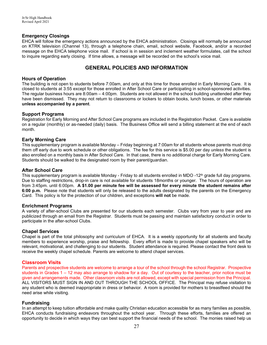#### **Emergency Closings**

EHCA will follow the emergency actions announced by the EHCA administration. Closings will normally be announced on KTRK television (Channel 13), through a telephone chain, email, school website, Facebook, and/or a recorded message on the EHCA telephone voice mail. If school is in session and inclement weather formulates, call the school to inquire regarding early closing. If time allows, a message will be recorded on the school's voice mail.

## **GENERAL POLICIES AND INFORMATION**

#### **Hours of Operation**

The building is not open to students before 7:00am, and only at this time for those enrolled in Early Morning Care. It is closed to students at 3:55 except for those enrolled in After School Care or participating in school-sponsored activities. The regular business hours are 8:00am – 4:00pm. Students are not allowed in the school building unattended after they have been dismissed. They may not return to classrooms or lockers to obtain books, lunch boxes, or other materials **unless accompanied by a parent**.

#### **Support Programs**

Registration for Early Morning and After School Care programs are included in the Registration Packet. Care is available on a regular (monthly) or as-needed (daily) basis. The Business Office will send a billing statement at the end of each month.

#### **Early Morning Care**

This supplementary program is available Monday – Friday beginning at 7:00am for all students whose parents must drop them off early due to work schedule or other obligations. The fee for this service is \$5.00 per day *unless* the student is also enrolled on a monthly basis in After School Care. In that case, there is no additional charge for Early Morning Care. Students should be walked to the designated room by their parent/guardian.

#### **After School Care**

This supplementary program is available Monday - Friday to all students enrolled in MDO -12<sup>th</sup> grade full day programs. Due to staffing restrictions, drop-in care is not available for students 18months or younger. The hours of operation are from 3:45pm. until 6:00pm. **A \$1.00 per minute fee will be assessed for every minute the student remains after 6:00 p.m.** Please note that students will only be released to the adults designated by the parents on the Emergency Card. This policy is for the protection of our children, and exceptions **will not** be made.

#### **Enrichment Programs**

A variety of after-school Clubs are presented for our students each semester. Clubs vary from year to year and are publicized through an email from the Registrar. Students must be passing and maintain satisfactory conduct in order to participate in the after-school Clubs.

#### **Chapel Services**

Chapel is part of the total philosophy and curriculum of EHCA. It is a weekly opportunity for all students and faculty members to experience worship, praise and fellowship. Every effort is made to provide chapel speakers who will be relevant, motivational, and challenging to our students. Student attendance is required. Please contact the front desk to receive the weekly chapel schedule. Parents are welcome to attend chapel services.

#### **Classroom Visits**

Parents and prospective students are welcome to arrange a tour of the school through the school Registrar. Prospective students in Grades 1 – 12 may also arrange to shadow for a day. Out of courtesy to the teacher, prior notice must be given and arrangements made. Other classroom visits are not allowed, except with special permission from the Principal. ALL VISITORS MUST SIGN IN AND OUT THROUGH THE SCHOOL OFFICE. The Principal may refuse visitation to any student who is deemed inappropriate in dress or behavior. A room is provided for mothers to breastfeed should the need arise while visiting.

#### **Fundraising**

In an attempt to keep tuition affordable and make quality Christian education accessible for as many families as possible, EHCA conducts fundraising endeavors throughout the school year. Through these efforts, families are offered an opportunity to decide in which ways they can best support the financial needs of the school. The monies raised help us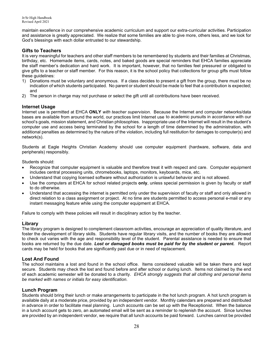maintain excellence in our comprehensive academic curriculum and support our extra-curricular activities. Participation and assistance is greatly appreciated. We realize that some families are able to give more, others less, and we look for God's blessings with each dollar entrusted to our stewardship.

#### **Gifts to Teachers**

It is very meaningful for teachers and other staff members to be remembered by students and their families at Christmas, birthday, etc. Homemade items, cards, notes, and baked goods are special reminders that EHCA families appreciate the staff member's dedication and hard work. It is important, however, that no families feel pressured or obligated to give gifts to a teacher or staff member. For this reason, it is the school policy that collections for group gifts must follow these guidelines:

- 1) Donations must be voluntary and anonymous. If a class decides to present a gift from the group, there must be no indication of which students participated. No parent or student should be made to feel that a contribution is expected; and
- 2) The person in charge may not purchase or select the gift until all contributions have been received.

#### **Internet Usage**

Internet use is permitted at EHCA **ONLY** *with teacher supervision*. Because the Internet and computer networks/data bases are available from around the world, our practices limit Internet use to academic pursuits in accordance with our school's goals, mission statement, and Christian philosophies. Inappropriate use of the Internet will result in the student's computer use and access being terminated by the school for a length of time determined by the administration, with additional penalties as determined by the nature of the violation, including full restitution for damages to computer(s) and network(s).

Students at Eagle Heights Christian Academy should use computer equipment (hardware, software, data and peripherals) responsibly.

Students should:

- Recognize that computer equipment is valuable and therefore treat it with respect and care. Computer equipment includes central processing units, chromebooks, laptops, monitors, keyboards, mice, etc.
- Understand that copying licensed software without authorization is unlawful behavior and is not allowed.
- Use the computers at EHCA for school related projects **only**, unless special permission is given by faculty or staff to do otherwise.
- Understand that accessing the internet is permitted only under the supervision of faculty or staff and only allowed in direct relation to a class assignment or project. At no time are students permitted to access personal e-mail or any instant messaging feature while using the computer equipment at EHCA.

Failure to comply with these policies will result in disciplinary action by the teacher.

#### . **Library**

The library program is designed to complement classroom activities, encourage an appreciation of quality literature, and foster the development of library skills. Students have regular library visits, and the number of books they are allowed to check out varies with the age and responsibility level of the student. Parental assistance is needed to ensure that books are returned by the due date. *Lost or damaged books must be paid for by the student or parent***.** Report cards may be held for books that are significantly past due or in need of replacement.

#### **Lost And Found**

The school maintains a lost and found in the school office. Items considered valuable will be taken there and kept secure. Students may check the lost and found before and after school or during lunch. Items not claimed by the end of each academic semester will be donated to a charity. *EHCA strongly suggests that all clothing and personal items be marked with names or initials for easy identification.*

#### **Lunch Program**

Students should bring their lunch or make arrangements to participate in the hot lunch program. A hot lunch program is available daily at a moderate price, provided by an independent vendor. Monthly calendars are prepared and distributed in advance in order to facilitate meal planning. Lunch accounts can be set up with the Receptionist. When the balance in a lunch account gets to zero, an automated email will be sent as a reminder to replenish the account. Since lunches are provided by an independent vendor, we require that all lunch accounts be paid forward. Lunches cannot be provided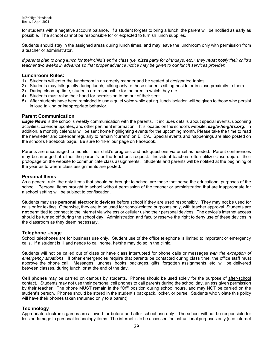for students with a negative account balance. If a student forgets to bring a lunch, the parent will be notified as early as possible. The school cannot be responsible for or expected to furnish lunch supplies.

Students should stay in the assigned areas during lunch times, and may leave the lunchroom only with permission from a teacher or administrator.

*If parents plan to bring lunch for their child's entire class (i.e. pizza party for birthdays, etc.), they must notify their child's teacher two weeks in advance so that proper advance notice may be given to our lunch services provider.*

#### **Lunchroom Rules:**

- 1) Students will enter the lunchroom in an orderly manner and be seated at designated tables.
- 2) Students may talk quietly during lunch, talking only to those students sitting beside or in close proximity to them.
- 3) During clean-up time, students are responsible for the area in which they ate.
- 4) Students must raise their hand for permission to be out of their seat.
- 5) After students have been reminded to use a quiet voice while eating, lunch isolation will be given to those who persist in loud talking or inappropriate behavior.

#### **Parent Communication**

*Eagle News* is the school's weekly communication with the parents. It includes details about special events, upcoming activities, calendar updates, and other pertinent information. It is located on the school's website: *eagle-heights.org*. In addition, a monthly calendar will be sent home highlighting events for the upcoming month. Please take the time to read the newsletter and calendar regularly to remain "current" on EHCA. Special events and happenings are also posted on the school's Facebook page. Be sure to "like" our page on Facebook.

Parents are encouraged to monitor their child's progress and ask questions via email as needed. Parent conferences may be arranged at either the parent's or the teacher's request. Individual teachers often utilize class dojo or their protopage on the website to communicate class assignments. Students and parents will be notified at the beginning of the year as to where class assignments are posted.

#### **Personal Items**

As a general rule, the only items that should be brought to school are those that serve the educational purposes of the school. Personal items brought to school without permission of the teacher or administration that are inappropriate for a school setting will be subject to confiscation.

Students may use **personal electronic devices** before school if they are used responsibly. They may not be used for calls or for texting. Otherwise, they are to be used for school-related purposes only, with teacher approval. Students are **not** permitted to connect to the internet via wireless or cellular using their personal devices. The device's internet access should be turned off during the school day. Administration and faculty reserve the right to deny use of these devices in the classroom as they deem necessary.

#### **Telephone Usage**

School telephones are for business use only. Student use of the office telephone is limited to important or emergency calls. If a student is ill and needs to call home, he/she may do so in the clinic.

Students will not be called out of class or have class interrupted for phone calls or messages *with the exception of emergency situations*. If other emergencies require that parents be contacted during class time, the office staff must approve the phone call. Messages, lunches, books, packages, gifts, forgotten assignments, etc. will be delivered between classes, during lunch, or at the end of the day.

**Cell phones** may be carried on campus by students. Phones should be used solely for the purpose of after-school contact. Students may not use their personal cell phones to call parents during the school day, unless given permission by their teacher. The phone MUST remain in the "Off" position during school hours, and may NOT be carried on the student's person. Phones should be stored in the student's backpack, locker, or purse. Students who violate this policy will have their phones taken (returned only to a parent).

#### **Technology**

Appropriate electronic games are allowed for before and after-school use only. The school will not be responsible for loss or damage to personal technology items. The internet is to be accessed for instructional purposes only (see Internet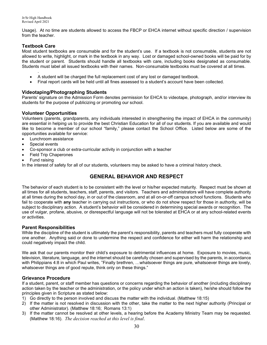Usage). At no time are students allowed to access the FBCP or EHCA internet without specific direction / supervision from the teacher.

### **Textbook Care**

Most student textbooks are consumable and for the student's use. If a textbook is not consumable, students are not allowed to write, highlight, or mark in the textbook in any way. Lost or damaged school-owned books will be paid for by the student or parent. Students should handle all textbooks with care, including books designated as consumable. Students must label all issued textbooks with their names. Non-consumable textbooks must be covered at all times.

- . • A student will be charged the full replacement cost of any lost or damaged textbook.
- Final report cards will be held until all fines assessed to a student's account have been collected.

#### **Videotaping/Photographing Students**

Parents' signature on the Admission Form denotes permission for EHCA to videotape, photograph, and/or interview its students for the purpose of publicizing or promoting our school.

#### **Volunteer Opportunities**

Volunteers (parents, grandparents, any individuals interested in strengthening the impact of EHCA in the community) are essential in helping us to provide the best Christian Education for all of our students. If you are available and would like to become a member of our school "family," please contact the School Office. Listed below are some of the opportunities available for service:

- Lunchroom assistance
- Special events
- Co-sponsor a club or extra-curricular activity in conjunction with a teacher
- Field Trip Chaperones
- Fund raising

In the interest of safety for all of our students, volunteers may be asked to have a criminal history check.

## **GENERAL BEHAVIOR AND RESPECT**

The behavior of each student is to be consistent with the level or his/her expected maturity. Respect must be shown at all times for all students, teachers, staff, parents, and visitors. Teachers and administrators will have complete authority at all times during the school day, in or out of the classroom, and at all on-or-off campus school functions. Students who fail to cooperate with **any** teacher in carrying out instructions, or who do not show respect for those in authority, will be subject to disciplinary action. A student's behavior will be considered in determining special awards or recognition. The use of vulgar, profane, abusive, or disrespectful language will not be tolerated at EHCA or at any school-related events or activities.

#### **Parent Responsibilities**

While the discipline of the student is ultimately the parent's responsibility, parents and teachers must fully cooperate with one another. Anything said or done to undermine the respect and confidence for either will harm the relationship and could negatively impact the child.

We ask that our parents monitor their child's exposure to detrimental influences at home. Exposure to movies, music, television, literature, language, and the internet should be carefully chosen and supervised by the parents, in accordance with Philippians 4:8 in which Paul writes, "Finally brethren, ...whatsoever things are pure, whatsoever things are lovely, whatsoever things are of good repute, think only on these things."

#### **Grievance Procedure**

If a student, parent, or staff member has questions or concerns regarding the behavior of another (including disciplinary action taken by the teacher or the administration, or the policy under which an action is taken), he/she should follow the principles given in Scripture as stated below:

- 1) Go directly to the person involved and discuss the matter with the individual. (Matthew 18:15)
- 2) If the matter is not resolved in discussion with the other, take the matter to the next higher authority (Principal or other Administrator). (Matthew 18:16; Romans 13:1)
- 3) If the matter cannot be resolved at other levels, a hearing before the Academy Ministry Team may be requested. (Matthew 18:16). *The decision reached at this level is final*.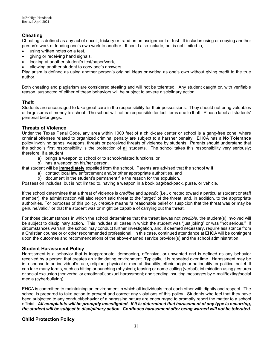## **Cheating**

Cheating is defined as any act of deceit, trickery or fraud on an assignment or test. It includes using or copying another person's work or lending one's own work to another. It could also include, but is not limited to,

- using written notes on a test.
- giving or receiving hand signals,
- looking at another student's test/paper/work,
- allowing another student to copy one's answers.

Plagiarism is defined as using another person's original ideas or writing as one's own without giving credit to the true author.

Both cheating and plagiarism are considered stealing and will not be tolerated. Any student caught or, with verifiable reason, suspected of either of these behaviors will be subject to severe disciplinary action.

#### **Theft**

Students are encouraged to take great care in the responsibility for their possessions. They should not bring valuables or large sums of money to school. The school will not be responsible for lost items due to theft. Please label all students' personal belongings.

#### **Threats of Violence**

Under the Texas Penal Code, any area within 1000 feet of a child-care center or school is a gang-free zone, where criminal offenses related to organized criminal penalty are subject to a harsher penalty. EHCA has a **No Tolerance**  policy involving gangs, weapons, threats or perceived threats of violence by students. Parents should understand that the school's first responsibility is the protection of all students. The school takes this responsibility very seriously; therefore, if a student

- a) brings a weapon to school or to school-related functions, or
- b) has a weapon on his/her person,

that student will be **immediately** expelled from the school. Parents are advised that the school **will**

- a) contact local law enforcement and/or other appropriate authorities, and
- b) document in the student's permanent file the reason for the expulsion.

Possession includes, but is not limited to, having a weapon in a book bag/backpack, purse, or vehicle.

If the school determines that a threat of violence is *credible* and *specific* (i.e., directed toward a particular student or staff member), the administration will also report said threat to the "target" of the threat, and, in addition, to the appropriate authorities. For purposes of this policy, *credible* means "a reasonable belief or suspicion that the threat was or may be genuine/valid," or that the student was or might be capable of carrying out the threat.

For those circumstances in which the school determines that the threat is/was not *credible*, the student(s) involved will be subject to disciplinary action. This includes all cases in which the student was "just joking" or was "not serious." If circumstances warrant, the school may conduct further investigation, and, if deemed necessary, require assistance from a Christian counselor or other recommended professional. In this case, continued attendance at EHCA will be contingent upon the outcomes and recommendations of the above-named service provider(s) and the school administration.

#### **Student Harassment Policy**

Harassment is a behavior that is inappropriate, demeaning, offensive, or unwanted and is defined as any behavior received by a person that creates an intimidating environment. Typically, it is repeated over time. Harassment may be in response to an individual's race, religion, physical or mental disability, ethnic origin or nationality, or political belief. It can take many forms, such as hitting or punching (physical); teasing or name-calling (verbal); intimidation using gestures or social exclusion (nonverbal or emotional); sexual harassment; and sending insulting messages by e-mail/texting/social media (cyberbullying).

EHCA is committed to maintaining an environment in which all individuals treat each other with dignity and respect. The school is prepared to take action to prevent and correct any violations of this policy. Students who feel that they have been subjected to any conduct/behavior of a harassing nature are encouraged to promptly report the matter to a school official. *All complaints will be promptly investigated. If it is determined that harassment of any type is occurring, the student will be subject to disciplinary action. Continued harassment after being warned will not be tolerated.*

#### **Child Protection Policy**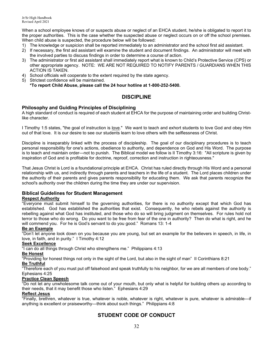When a school employee knows of or suspects abuse or neglect of an EHCA student, he/she is obligated to report it to the proper authorities. This is the case whether the suspected abuse or neglect occurs on or off the school premises. When child abuse is suspected, the procedure below will be followed:

- 1) The knowledge or suspicion shall be reported immediately to an administrator and the school first aid assistant.
- 2) If necessary, the first aid assistant will examine the student and document findings. An administrator will meet with the involved parties to discuss findings in order to determine a course of action.
- 3) The administrator or first aid assistant shall immediately report what is known to Child's Protective Service (CPS) or other appropriate agency. NOTE: WE ARE NOT REQUIRED TO NOTIFY PARENTS / GUARDIANS WHEN THIS ACTION IS TAKEN.
- 4) School officials will cooperate to the extent required by the state agency.
- 5) Strictest confidence will be maintained. **\*To report Child Abuse, please call the 24 hour hotline at 1-800-252-5400.**

## **DISCIPLINE**

#### **Philosophy and Guiding Principles of Disciplining**

A high standard of conduct is required of each student at EHCA for the purpose of maintaining order and building Christlike character.

I Timothy 1:5 states, "the goal of instruction is love." We want to teach and exhort students to love God and obey Him out of that love. It is our desire to see our students learn to love others with the selflessness of Christ.

Discipline is inseparably linked with the process of discipleship. The goal of our disciplinary procedures is to teach personal responsibility for one's actions, obedience to authority, and dependence on God and His Word. The purpose is to teach and maintain order—not to punish. The Biblical model we follow is II Timothy 3:16: "All scripture is given by inspiration of God and is profitable for doctrine, reproof, correction and instruction in righteousness."

That Jesus Christ is Lord is a foundational principle at EHCA. Christ has ruled directly through His Word and a personal relationship with us, and indirectly through parents and teachers in the life of a student. The Lord places children under the authority of their parents and gives parents responsibility for educating them. We ask that parents recognize the school's authority over the children during the time they are under our supervision.

#### **Biblical Guidelines for Student Management**

#### **Respect Authority**

"Everyone must submit himself to the governing authorities, for there is no authority except that which God has established. God has established the authorities that exist. Consequently, he who rebels against the authority is rebelling against what God has instituted, and those who do so will bring judgment on themselves. For rules hold not terror to those who do wrong. Do you want to be free from fear of the one in authority? Then do what is right, and he will commend you. For he is God's servant to do you good." Romans 13: 1-4

#### **Be an Example**

"Don't let anyone look down on you because you are young, but set an example for the believers in speech, in life, in love, in faith, and in purity." I Timothy 4:12

#### **Seek Excellence**

"I can do all things through Christ who strengthens me." Philippians 4:13

#### **Be Honest**

"Providing for honest things not only in the sight of the Lord, but also in the sight of man" II Corinthians 8:21

#### **Be Truthful**

"Therefore each of you must put off falsehood and speak truthfully to his neighbor, for we are all members of one body." Ephesians 4:25

#### **Practice Clean Speech**

"Do not let any unwholesome talk come out of your mouth, but only what is helpful for building others up according to their needs, that it may benefit those who listen." Ephesians 4:29

#### **Reflect Jesus**

"Finally, brethren, whatever is true, whatever is noble, whatever is right, whatever is pure, whatever is admirable—if anything is excellent or praiseworthy—think about such things." Philippians 4:8

## **STUDENT CODE OF CONDUCT**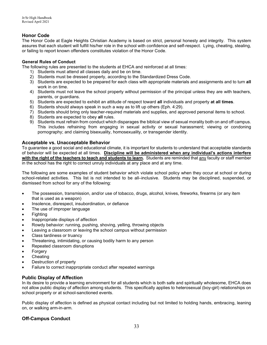#### **Honor Code**

The Honor Code at Eagle Heights Christian Academy is based on strict, personal honesty and integrity. This system assures that each student will fulfill his/her role in the school with confidence and self-respect. Lying, cheating, stealing, or failing to report known offenders constitutes violation of the Honor Code.

#### **General Rules of Conduct**

The following rules are presented to the students at EHCA and reinforced at all times:

- 1) Students must attend all classes daily and be on time.
- 2) Students must be dressed properly, according to the Standardized Dress Code.
- 3) Students are expected to be prepared for each class with appropriate materials and assignments and to turn **all** work in on time.
- 4) Students must not leave the school property without permission of the principal unless they are with teachers, parents, or guardians.
- 5) Students are expected to exhibit an attitude of respect toward **all** individuals and property **at all times**.
- 6) Students should always speak in such a way as to lift up others (Eph. 4:29).
- 7) Students should bring only teacher-required materials and supplies, and approved personal items to school.
- 8) Students are expected to obey **all** rules.
- 9) Students must refrain from conduct which disparages the biblical view of sexual morality both on and off campus. This includes refraining from engaging in sexual activity or sexual harassment; viewing or condoning pornography; and claiming bisexuality, homosexuality, or transgender identity.

#### **Acceptable vs. Unacceptable Behavior**

To guarantee a good social and educational climate, it is important for students to understand that acceptable standards of behavior will be expected at all times. **Discipline will be administered when any individual's actions interfere with the right of the teachers to teach and students to learn.** Students are reminded that any faculty or staff member in the school has the right to correct unruly individuals at any place and at any time.

The following are some examples of student behavior which violate school policy when they occur at school or during school-related activities. This list is not intended to be all–inclusive. Students may be disciplined, suspended, or dismissed from school for any of the following:

- The possession, transmission, and/or use of tobacco, drugs, alcohol, knives, fireworks, firearms (or any item that is used as a weapon)
- Insolence, disrespect, insubordination, or defiance
- The use of improper language
- Fighting
- Inappropriate displays of affection
- Rowdy behavior: running, pushing, shoving, yelling, throwing objects
- Leaving a classroom or leaving the school campus without permission
- Class tardiness or truancy
- Threatening, intimidating, or causing bodily harm to any person
- Repeated classroom disruptions
- **Forgery**
- Cheating
- Destruction of property
- Failure to correct inappropriate conduct after repeated warnings

#### **Public Display of Affection**

In its desire to provide a learning environment for all students which is both safe and spiritually wholesome, EHCA does not allow public display of affection among students. This specifically applies to heterosexual (boy-girl) relationships on school property or at school-sanctioned events.

Public display of affection is defined as physical contact including but not limited to holding hands, embracing, leaning on, or walking arm-in-arm.

#### **Off-Campus Conduct**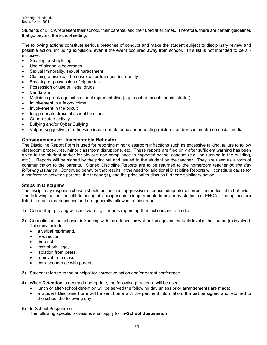Students of EHCA represent their school, their parents, and their Lord at all times. Therefore, there are certain guidelines that go beyond the school setting.

The following actions constitute serious breaches of conduct and make the student subject to disciplinary review and possible action, including expulsion, even if the event occurred away from school. This list is not intended to be allinclusive:

- Stealing or shoplifting
- Use of alcoholic beverages
- Sexual immorality, sexual harassment
- Claiming a bisexual, homosexual or transgender identity
- Smoking or possession of cigarettes
- Possession or use of illegal drugs
- Vandalism
- Malicious prank against a school representative (e.g. teacher, coach, administrator)
- Involvement in a felony crime
- Involvement in the occult
- Inappropriate dress at school functions
- Gang-related activity
- Bullying and/or Cyber Bullying
- Vulgar, suggestive, or otherwise inappropriate behavior or posting (pictures and/or comments) on social media.

#### **Consequences of Unacceptable Behavior**

The Discipline Report Form is used for reporting minor classroom infractions such as excessive talking, failure to follow classroom procedures, minor classroom disruptions, etc. These reports are filed only after sufficient warning has been given to the student and/or for obvious non-compliance to expected school conduct (e.g., no running in the building, etc.). Reports will be signed by the principal and issued to the student by the teacher. They are used as a form of communication to the parents. Signed Discipline Reports are to be returned to the homeroom teacher *on the day following issuance*. Continued behavior that results in the need for additional Discipline Reports will constitute cause for a conference between parents, the teacher(s), and the principal to discuss further disciplinary action.

#### **Steps in Discipline**

The disciplinary response chosen should be the least aggressive response adequate to correct the undesirable behavior. The following actions constitute acceptable responses to inappropriate behavior by students at EHCA. The options are listed in order of seriousness and are generally followed in this order:

- 1) Counseling, praying with and warning students regarding their actions and attitudes
- 2) Correction of the behavior in keeping with the offense, as well as the age and maturity level of the student(s) involved. This may include
	- a verbal reprimand.
	- re-direction,
	- time-out.
	- loss of privilege,
	- isolation from peers.
	- removal from class
	- correspondence with parents
- 3) Student referred to the principal for corrective action and/or parent conference
- 4) When **Detention** is deemed appropriate, the following procedure will be used:
	- lunch or after-school detention will be served the following day unless prior arrangements are made;
	- a Student Discipline Form will be sent home with the pertinent information. It **must** be signed and returned to the school the following day.
- 5) In-School Suspension

The following specific provisions shall apply for **In-School Suspension**: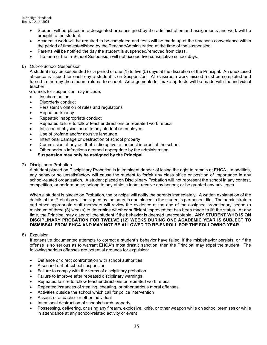- Student will be placed in a designated area assigned by the administration and assignments and work will be brought to the student.
- Academic work will be required to be completed and tests will be made up at the teacher's convenience within the period of time established by the Teacher/Administration at the time of the suspension.
- Parents will be notified the day the student is suspended/removed from class.
- The term of the In-School Suspension will not exceed five consecutive school days.

#### 6) Out-of-School Suspension

A student may be suspended for a period of one (1) to five (5) days at the discretion of the Principal. An unexcused absence is issued for each day a student is on Suspension. All classroom work missed must be completed and turned in the day the student returns to school. Arrangements for make-up tests will be made with the individual teacher.

Grounds for suspension may include:

- Insubordination
- Disorderly conduct
- Persistent violation of rules and regulations
- Repeated truancy
- Repeated inappropriate conduct
- Repeated failure to follow teacher directions or repeated work refusal
- Infliction of physical harm to any student or employee
- Use of profane and/or abusive language
- Intentional damage or destruction of school property
- Commission of any act that is disruptive to the best interest of the school
- Other serious infractions deemed appropriate by the administration **Suspension may only be assigned by the Principal.**

#### 7) Disciplinary Probation

A student placed on Disciplinary Probation is in imminent danger of losing the right to remain at EHCA. In addition, any behavior so unsatisfactory will cause the student to forfeit any class office or position of importance in any school-related organization. A student placed on Disciplinary Probation will not represent the school in any contest, competition, or performance; belong to any athletic team; receive any honors; or be granted any privileges.

When a student is placed on Probation, the principal will notify the parents immediately. A written explanation of the details of the Probation will be signed by the parents and placed in the student's permanent file. The administrators and other appropriate staff members will review the evidence at the end of the assigned probationary period (a minimum of three (3) weeks) to determine whether sufficient improvement has been made to lift the status. At any time, the Principal may disenroll the student if the behavior is deemed unacceptable. **ANY STUDENT WHO IS ON DISCIPLINARY PROBATION FOR TWELVE (12) WEEKS DURING ONE ACADEMIC YEAR IS SUBJECT TO DISMISSAL FROM EHCA AND MAY NOT BE ALLOWED TO RE-ENROLL FOR THE FOLLOWING YEAR.**

#### 8) Expulsion

If extensive documented attempts to correct a student's behavior have failed, if the misbehavior persists, or if the offense is so serious as to warrant EHCA's most drastic sanction, then the Principal may expel the student. The following serious offenses are potential grounds for expulsion:

- Defiance or direct confrontation with school authorities
- A second out-of-school suspension
- Failure to comply with the terms of disciplinary probation
- Failure to improve after repeated disciplinary warnings
- Repeated failure to follow teacher directions or repeated work refusal
- Repeated instances of stealing, cheating, or other serious moral offenses.
- Activities outside the school which call for police intervention
- Assault of a teacher or other individual
- Intentional destruction of school/church property
- Possessing, delivering, or using any firearm, explosive, knife, or other weapon while on school premises or while in attendance at any school-related activity or event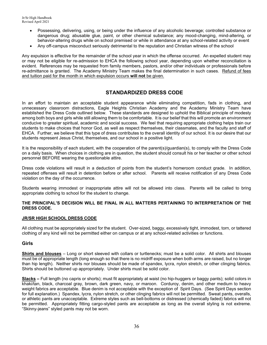- Possessing, delivering, using, or being under the influence of any alcoholic beverage; controlled substance or dangerous drug; abusable glue, paint, or other chemical substance; any mood-changing, mind-altering, or behavior-altering drugs while on school premised or while in attendance at any school-related activity or event
- Any off-campus misconduct seriously detrimental to the reputation and Christian witness of the school

Any expulsion is effective for the remainder of the school year in which the offense occurred. An expelled student may or may not be eligible for re-admission to EHCA the following school year, depending upon whether reconciliation is evident. References may be requested from family members, pastors, and/or other individuals or professionals before re-admittance is granted. The Academy Ministry Team makes the final determination in such cases. Refund of fees and tuition paid for the month in which expulsion occurs **will not** be given.

## **STANDARDIZED DRESS CODE**

In an effort to maintain an acceptable student appearance while eliminating competition, fads in clothing, and unnecessary classroom distractions, Eagle Heights Christian Academy and the Academy Ministry Team have established the Dress Code outlined below. These standards are designed to uphold the Biblical principle of modesty among both boys and girls while still allowing them to be comfortable. It is our belief that this will promote an environment conducive to greater spiritual, academic and social success. We feel that requiring appropriate clothing helps train our students to make choices that honor God, as well as respect themselves, their classmates, and the faculty and staff of EHCA. Further, we believe that this type of dress contributes to the overall identity of our school. It is our desire that our students represent Jesus Christ, themselves, and our school in a positive light.

It is the responsibility of each student, with the cooperation of the parent(s)/guardian(s), to comply with the Dress Code on a daily basis. When choices in clothing are in question, the student should consult his or her teacher or other school personnel BEFORE wearing the questionable attire.

Dress code violations will result in a deduction of points from the student's homeroom conduct grade. In addition, repeated offenses will result in detention before or after school. Parents will receive notification of any Dress Code violation on the day of the occurrence.

Students wearing immodest or inappropriate attire will not be allowed into class. Parents will be called to bring appropriate clothing to school for the student to change.

#### **THE PRINCIPAL'S DECISION WILL BE FINAL IN ALL MATTERS PERTAINING TO INTERPRETATION OF THE DRESS CODE.**

#### **JR/SR HIGH SCHOOL DRESS CODE**

All clothing must be appropriately sized for the student. Over-sized, baggy, excessively tight, immodest, torn, or tattered clothing of any kind will not be permitted either on campus or at any school-related activities or functions.

#### **Girls**

**Shirts and blouses** – Long or short sleeved with collars or turtlenecks; must be a solid color. All shirts and blouses must be of appropriate length (long enough so that there is no midriff exposure when both arms are raised, but no longer than hip length). Neither shirts nor blouses should be made of spandex, lycra, nylon stretch, or other clinging fabrics. Shirts should be buttoned up appropriately. Under shirts must be solid color.

**Slacks –** Full length (no capris or shorts); must fit appropriately at waist (no hip-huggers or baggy pants); solid colors in khaki/tan, black, charcoal gray, brown, dark green, navy, or maroon. Corduroy, denim, and other medium to heavy weight fabrics are acceptable. Blue denim is not acceptable with the exception of Spirit Days. (See Spirit Days section for full explanation.) Spandex, lycra, nylon stretch, or other clinging fabrics will not be permitted. Sweat pants, overalls, or athletic pants are unacceptable. Extreme styles such as bell-bottoms or distressed (chemically faded) fabrics will not be permitted. Appropriately fitting cargo-styled pants are acceptable as long as the overall styling is not extreme. "Skinny-jeans" styled pants may not be worn.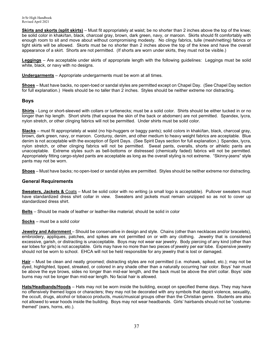**Skirts and skorts (split skirts)** – Must fit appropriately at waist; be no shorter than 2 inches above the top of the knee; be solid color in khaki/tan, black, charcoal gray, brown, dark green, navy, or maroon. Skirts should fit comfortably with enough room to sit and move about without compromising modesty. No clingy fabrics, tulle (mesh/netting) fabrics or tight skirts will be allowed. Skorts must be no shorter than 2 inches above the top of the knee and have the overall appearance of a skirt. Shorts are not permitted. (If shorts are worn under skirts, they must not be visible.)

**Leggings** – Are acceptable under skirts of appropriate length with the following guidelines: Leggings must be solid white, black, or navy with no designs.

**Undergarments** – Appropriate undergarments must be worn at all times.

**Shoes** – Must have backs, no open-toed or sandal styles are permitted except on Chapel Day. (See Chapel Day section for full explanation.) Heels should be no taller than 2 inches. Styles should be neither extreme nor distracting.

#### **Boys**

**Shirts** - Long or short-sleeved with collars or turtlenecks; must be a solid color. Shirts should be either tucked in or no longer than hip length. Short shirts (that expose the skin of the back or abdomen) are not permitted. Spandex, lycra, nylon stretch, or other clinging fabrics will not be permitted. Under shirts must be solid color.

**Slacks** – must fit appropriately at waist (no hip-huggers or baggy pants); solid colors in khaki/tan, black, charcoal gray, brown, dark green, navy, or maroon. Corduroy, denim, and other medium to heavy weight fabrics are acceptable. Blue denim is not acceptable with the exception of Spirit Days. (See Spirit Days section for full explanation.) Spandex, lycra, nylon stretch, or other clinging fabrics will not be permitted. Sweat pants, overalls, shorts or athletic pants are unacceptable. Extreme styles such as bell-bottoms or distressed (chemically faded) fabrics will not be permitted. Appropriately fitting cargo-styled pants are acceptable as long as the overall styling is not extreme. "Skinny-jeans" style pants may not be worn.

**Shoes** – Must have backs; no open-toed or sandal styles are permitted. Styles should be neither extreme nor distracting.

#### **General Requirements**

**Sweaters, Jackets &** Coats – Must be solid color with no writing (a small logo is acceptable). Pullover sweaters must have standardized dress shirt collar in view. Sweaters and jackets must remain unzipped so as not to cover up standardized dress shirt.

**Belts** – Should be made of leather or leather-like material; should be solid in color

**Socks** – must be a solid color

**Jewelry and Adornment** – Should be conservative in design and style. Chains (other than necklaces and/or bracelets), embroidery, appliques, patches, and spikes are not permitted on or with any clothing. Jewelry that is considered excessive, garish, or distracting is unacceptable. Boys may not wear ear jewelry. Body piercing of any kind (other than ear lobes for girls) is not acceptable. Girls may have no more than two pieces of jewelry per ear lobe. Expensive jewelry should not be worn to school. EHCA will not be held responsible for any jewelry that is lost or damaged.

**Hair** – Must be clean and neatly groomed; distracting styles are not permitted (i.e. mohawk, spiked, etc.); may not be dyed, highlighted, tipped, streaked, or colored in any shade other than a naturally occurring hair color. Boys' hair must be above the eye brows, sides no longer than mid-ear length, and the back must be above the shirt collar. Boys' side burns may not be longer than mid-ear length. No facial hair is allowed.

**Hats/Headbands/Hoods** – Hats may not be worn inside the building, except on specified theme days. They may have no offensively themed logos or characters; they may not be decorated with any symbols that depict violence, sexuality, the occult, drugs, alcohol or tobacco products, music/musical groups other than the Christian genre. Students are also not allowed to wear hoods inside the building.Boys may not wear headbands. Girls' hairbands should not be "costumethemed" (ears, horns, etc.).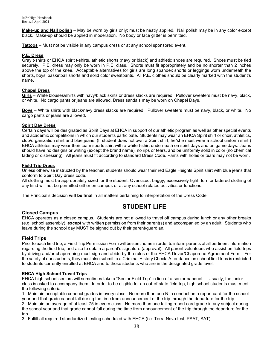**Make-up and Nail polish** – May be worn by girls only; must be neatly applied. Nail polish may be in any color except black. Make-up should be applied in moderation. No body or face glitter is permitted.

**Tattoos** – Must not be visible in any campus dress or at any school sponsored event.

#### **P.E. Dress**

Gray t-shirts or EHCA spirit t-shirts, athletic shorts (navy or black) and athletic shoes are required. Shoes must be tied securely. P.E. dress may only be worn in P.E. class. Shorts must fit appropriately and be no shorter than 2 inches above the top of the knee. Acceptable alternatives for girls are long spandex shorts or leggings worn underneath the shorts, boys' basketball shorts and solid color sweatpants. All P.E. clothes should be clearly marked with the student's name.

#### **Chapel Dress**

**Girls** – White blouses/shirts with navy/black skirts or dress slacks are required. Pullover sweaters must be navy, black, or white. No cargo pants or jeans are allowed. Dress sandals may be worn on Chapel Days.

**Boys** – White shirts with black/navy dress slacks are required. Pullover sweaters must be navy, black, or white. No cargo pants or jeans are allowed.

#### **Spirit Day Dress**

Certain days will be designated as Spirit Days at EHCA in support of our athletic program as well as other special events and academic competitions in which our students participate.Students may wear an EHCA Spirit shirt or choir, athletics, club/organization shirt and blue jeans. (If student does not own a Spirit shirt, he/she must wear a school uniform shirt.) EHCA athletes may wear their team sports shirt with a white t-shirt underneath on spirit days and on game days. Jeans should have no designs or writing (except the brand name), no rips or tears, and be uniformly solid in color (no chemical fading or distressing). All jeans must fit according to standard Dress Code. Pants with holes or tears may not be worn.

#### **Field Trip Dress**

Unless otherwise instructed by the teacher, students should wear their red Eagle Heights Spirit shirt with blue jeans that conform to Spirit Day dress code.

All clothing must be appropriately sized for the student. Oversized, baggy, excessively tight, torn or tattered clothing of any kind will not be permitted either on campus or at any school-related activities or functions.

The Principal's decision **will be final** in all matters pertaining to interpretation of the Dress Code.

## **STUDENT LIFE**

#### **Closed Campus**

EHCA operates as a closed campus. Students are not allowed to travel off campus during lunch or any other breaks (e.g. school assembly), **except** with written permission from their parent(s) and accompanied by an adult. Students who leave during the school day MUST be signed out by their parent/guardian.

#### **Field Trips**

Prior to each field trip, a Field Trip Permission Form will be sent home in order to inform parents of all pertinent information regarding the field trip, and also to obtain a parent's signature (approval). All parent volunteers who assist on field trips by driving and/or chaperoning must sign and abide by the rules of the EHCA Driver/Chaperone Agreement Form. For the safety of our students, they must also submit to a Criminal History Check. Attendance on school field trips is restricted to students currently enrolled at EHCA and to those students who are in the designated grade level.

#### **EHCA High School Travel Trips**

EHCA high school seniors will sometimes take a "Senior Field Trip" in lieu of a senior banquet. Usually, the junior class is asked to accompany them. In order to be eligible for an out-of-state field trip, high school students must meet the following criteria:

1. Maintain acceptable conduct grades in every class. No more than one N in conduct on a report card for the school year and that grade cannot fall during the time from announcement of the trip through the departure for the trip.

2. Maintain an average of at least 75 in every class. No more than one failing report card grade in any subject during the school year and that grade cannot fall during the time from announcement of the trip through the departure for the trip.

3. Fulfill all required standardized testing scheduled with EHCA (i.e. Terra Nova test, PSAT, SAT).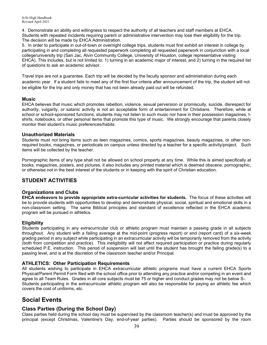4. Demonstrate an ability and willingness to respect the authority of all teachers and staff members at EHCA. Students with repeated incidents requiring parent or administrative intervention may lose their eligibility for the trip. The decision will be made by EHCA Administration.

5. In order to participate in out-of-town or overnight college trips, students must first exhibit an interest in college by participating in and completing all requested paperwork completing all requested paperwork in conjunction with a local college/university trip (San Jac, Alvin Community College, University of Houston, college representative visiting EHCA). This includes, but is not limited to: 1) turning in an academic major of interest, and 2) turning in the required list of questions to ask an academic advisor.

Travel trips are not a guarantee. Each trip will be decided by the faculty sponsor and administration during each academic year. If a student fails to meet any of the first four criteria after announcement of the trip, the student will not be eligible for the trip and only money that has not been already paid out will be refunded.

#### **Music**

EHCA believes that music which promotes rebellion, violence, sexual perversion or promiscuity, suicide, disrespect for authority, vulgarity, or satanic activity is not an acceptable form of entertainment for Christians. Therefore, while at school or school-sponsored functions, students may not listen to such music nor have in their possession magazines, tshirts, notebooks, or other personal items that promote this type of music. We strongly encourage that parents closely monitor their student's music preferences/habits.

#### **Unauthorized Materials**

Students must not bring items such as teen magazines, comics, sports magazines, beauty magazines, or other nonrequired books, magazines, or periodicals on campus unless directed by a teacher for a specific activity/project. Such items will be collected by the teacher.

Pornographic items of any type shall not be allowed on school property at any time. While this is aimed specifically at books, magazines, posters, and pictures, it also includes any printed material which is deemed obscene, pornographic, or otherwise not in the best interest of the students or in keeping with the spirit of Christian education.

## **STUDENT ACTIVITIES**

#### **Organizations and Clubs**

**EHCA endeavors to provide appropriate extra-curricular activities for students.** The focus of these activities will be to provide students with opportunities to develop and demonstrate physical, social, spiritual and emotional skills in a non-classroom setting. The same Biblical principles and standard of excellence reflected in the EHCA academic program will be pursued in athletics.

#### **Eligibility**

Students participating in any extracurricular club or athletic program must maintain a passing grade in all subjects throughout. Any student with a failing average at the mid-point (progress report) or end (report card) of a six-week grading period in any subject while participating in an extracurricular activity will be temporarily removed from the activity (both from competition and practice). This ineligibility will not affect required participation or practice during regularly scheduled P.E. instruction. This period of suspension will last until the student has brought the failing grade(s) to a passing level, and is at the discretion of the classroom teacher and/or Principal.

#### **ATHLETICS: Other Participation Requirements**

All students wishing to participate in EHCA extracurricular athletic programs must have a current EHCA Sports Physical/Parent Permit Form filed with the school office prior to attending any practice and/or competing in an event and agree to all Team Rules. Grades in all core subjects must be 75 or higher and conduct grades may not be below S-. Students participating in the extracurricular athletic program will also be responsible for paying an athletic fee which covers the cost of uniforms, etc.

## **Social Events**

#### **Class Parties (During the School Day)**

Class parties held during the school day must be supervised by the classroom teacher(s) and must be approved by the principal (except Christmas, Valentine's Day, end-of-year parties). Parties should be sponsored by the room